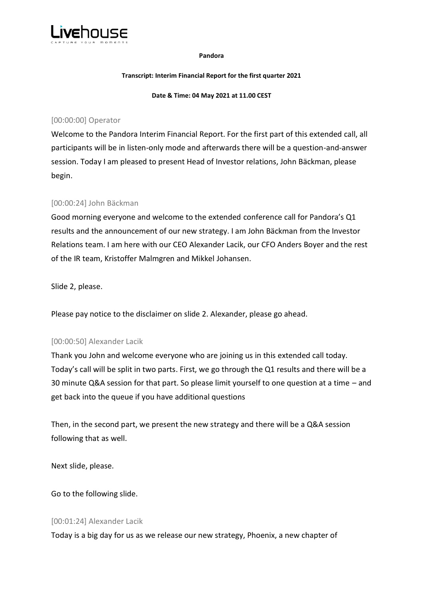

#### **Pandora**

#### **Transcript: Interim Financial Report for the first quarter 2021**

**Date & Time: 04 May 2021 at 11.00 CEST**

## [00:00:00] Operator

Welcome to the Pandora Interim Financial Report. For the first part of this extended call, all participants will be in listen-only mode and afterwards there will be a question-and-answer session. Today I am pleased to present Head of Investor relations, John Bäckman, please begin.

# [00:00:24] John Bäckman

Good morning everyone and welcome to the extended conference call for Pandora's Q1 results and the announcement of our new strategy. I am John Bäckman from the Investor Relations team. I am here with our CEO Alexander Lacik, our CFO Anders Boyer and the rest of the IR team, Kristoffer Malmgren and Mikkel Johansen.

Slide 2, please.

Please pay notice to the disclaimer on slide 2. Alexander, please go ahead.

## [00:00:50] Alexander Lacik

Thank you John and welcome everyone who are joining us in this extended call today. Today's call will be split in two parts. First, we go through the Q1 results and there will be a 30 minute Q&A session for that part. So please limit yourself to one question at a time – and get back into the queue if you have additional questions

Then, in the second part, we present the new strategy and there will be a Q&A session following that as well.

Next slide, please.

Go to the following slide.

## [00:01:24] Alexander Lacik

Today is a big day for us as we release our new strategy, Phoenix, a new chapter of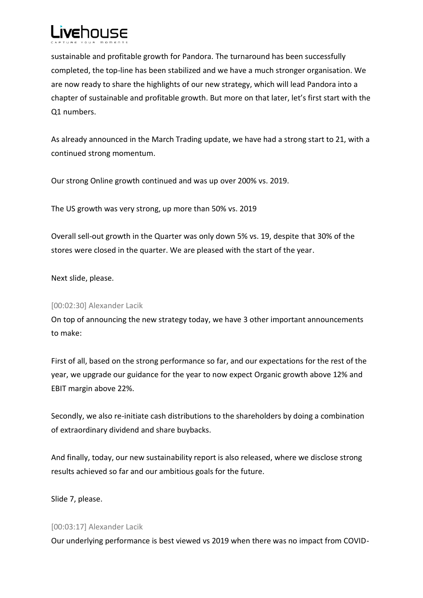

sustainable and profitable growth for Pandora. The turnaround has been successfully completed, the top-line has been stabilized and we have a much stronger organisation. We are now ready to share the highlights of our new strategy, which will lead Pandora into a chapter of sustainable and profitable growth. But more on that later, let's first start with the Q1 numbers.

As already announced in the March Trading update, we have had a strong start to 21, with a continued strong momentum.

Our strong Online growth continued and was up over 200% vs. 2019.

The US growth was very strong, up more than 50% vs. 2019

Overall sell-out growth in the Quarter was only down 5% vs. 19, despite that 30% of the stores were closed in the quarter. We are pleased with the start of the year.

Next slide, please.

## [00:02:30] Alexander Lacik

On top of announcing the new strategy today, we have 3 other important announcements to make:

First of all, based on the strong performance so far, and our expectations for the rest of the year, we upgrade our guidance for the year to now expect Organic growth above 12% and EBIT margin above 22%.

Secondly, we also re-initiate cash distributions to the shareholders by doing a combination of extraordinary dividend and share buybacks.

And finally, today, our new sustainability report is also released, where we disclose strong results achieved so far and our ambitious goals for the future.

Slide 7, please.

## [00:03:17] Alexander Lacik

Our underlying performance is best viewed vs 2019 when there was no impact from COVID-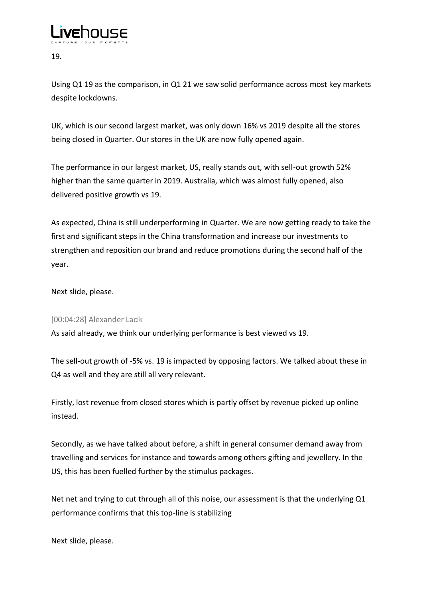

19.

Using Q1 19 as the comparison, in Q1 21 we saw solid performance across most key markets despite lockdowns.

UK, which is our second largest market, was only down 16% vs 2019 despite all the stores being closed in Quarter. Our stores in the UK are now fully opened again.

The performance in our largest market, US, really stands out, with sell-out growth 52% higher than the same quarter in 2019. Australia, which was almost fully opened, also delivered positive growth vs 19.

As expected, China is still underperforming in Quarter. We are now getting ready to take the first and significant steps in the China transformation and increase our investments to strengthen and reposition our brand and reduce promotions during the second half of the year.

Next slide, please.

# [00:04:28] Alexander Lacik

As said already, we think our underlying performance is best viewed vs 19.

The sell-out growth of -5% vs. 19 is impacted by opposing factors. We talked about these in Q4 as well and they are still all very relevant.

Firstly, lost revenue from closed stores which is partly offset by revenue picked up online instead.

Secondly, as we have talked about before, a shift in general consumer demand away from travelling and services for instance and towards among others gifting and jewellery. In the US, this has been fuelled further by the stimulus packages.

Net net and trying to cut through all of this noise, our assessment is that the underlying Q1 performance confirms that this top-line is stabilizing

Next slide, please.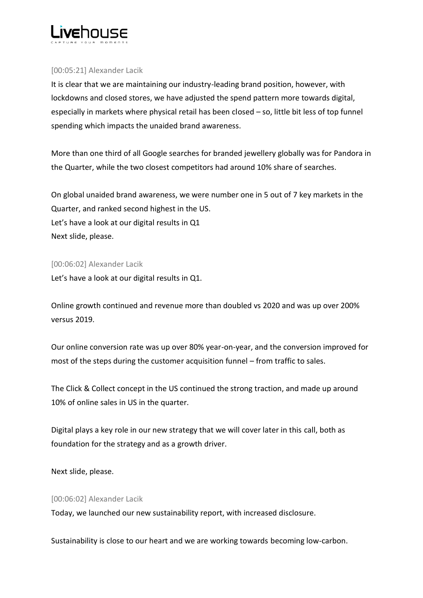

## [00:05:21] Alexander Lacik

It is clear that we are maintaining our industry-leading brand position, however, with lockdowns and closed stores, we have adjusted the spend pattern more towards digital, especially in markets where physical retail has been closed – so, little bit less of top funnel spending which impacts the unaided brand awareness.

More than one third of all Google searches for branded jewellery globally was for Pandora in the Quarter, while the two closest competitors had around 10% share of searches.

On global unaided brand awareness, we were number one in 5 out of 7 key markets in the Quarter, and ranked second highest in the US. Let's have a look at our digital results in Q1 Next slide, please.

## [00:06:02] Alexander Lacik

Let's have a look at our digital results in Q1.

Online growth continued and revenue more than doubled vs 2020 and was up over 200% versus 2019.

Our online conversion rate was up over 80% year-on-year, and the conversion improved for most of the steps during the customer acquisition funnel – from traffic to sales.

The Click & Collect concept in the US continued the strong traction, and made up around 10% of online sales in US in the quarter.

Digital plays a key role in our new strategy that we will cover later in this call, both as foundation for the strategy and as a growth driver.

Next slide, please.

## [00:06:02] Alexander Lacik

Today, we launched our new sustainability report, with increased disclosure.

Sustainability is close to our heart and we are working towards becoming low-carbon.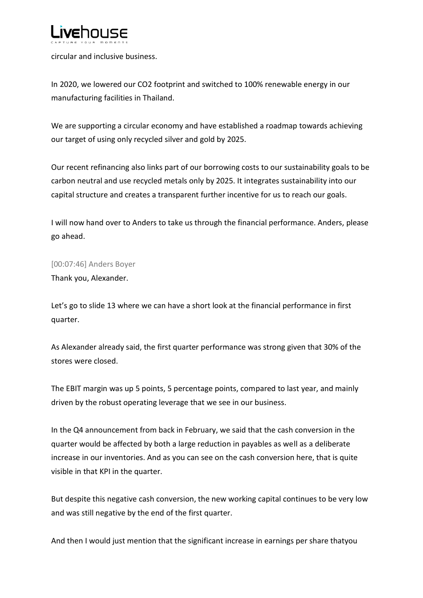

circular and inclusive business.

In 2020, we lowered our CO2 footprint and switched to 100% renewable energy in our manufacturing facilities in Thailand.

We are supporting a circular economy and have established a roadmap towards achieving our target of using only recycled silver and gold by 2025.

Our recent refinancing also links part of our borrowing costs to our sustainability goals to be carbon neutral and use recycled metals only by 2025. It integrates sustainability into our capital structure and creates a transparent further incentive for us to reach our goals.

I will now hand over to Anders to take us through the financial performance. Anders, please go ahead.

## [00:07:46] Anders Boyer

Thank you, Alexander.

Let's go to slide 13 where we can have a short look at the financial performance in first quarter.

As Alexander already said, the first quarter performance was strong given that 30% of the stores were closed.

The EBIT margin was up 5 points, 5 percentage points, compared to last year, and mainly driven by the robust operating leverage that we see in our business.

In the Q4 announcement from back in February, we said that the cash conversion in the quarter would be affected by both a large reduction in payables as well as a deliberate increase in our inventories. And as you can see on the cash conversion here, that is quite visible in that KPI in the quarter.

But despite this negative cash conversion, the new working capital continues to be very low and was still negative by the end of the first quarter.

And then I would just mention that the significant increase in earnings per share thatyou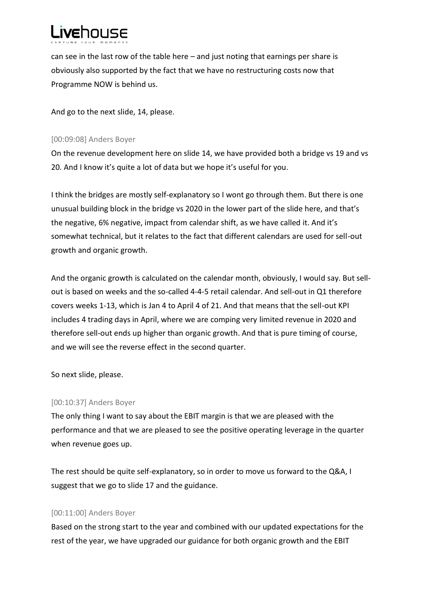

can see in the last row of the table here – and just noting that earnings per share is obviously also supported by the fact that we have no restructuring costs now that Programme NOW is behind us.

And go to the next slide, 14, please.

## [00:09:08] Anders Boyer

On the revenue development here on slide 14, we have provided both a bridge vs 19 and vs 20. And I know it's quite a lot of data but we hope it's useful for you.

I think the bridges are mostly self-explanatory so I wont go through them. But there is one unusual building block in the bridge vs 2020 in the lower part of the slide here, and that's the negative, 6% negative, impact from calendar shift, as we have called it. And it's somewhat technical, but it relates to the fact that different calendars are used for sell-out growth and organic growth.

And the organic growth is calculated on the calendar month, obviously, I would say. But sellout is based on weeks and the so-called 4-4-5 retail calendar. And sell-out in Q1 therefore covers weeks 1-13, which is Jan 4 to April 4 of 21. And that means that the sell-out KPI includes 4 trading days in April, where we are comping very limited revenue in 2020 and therefore sell-out ends up higher than organic growth. And that is pure timing of course, and we will see the reverse effect in the second quarter.

So next slide, please.

## [00:10:37] Anders Boyer

The only thing I want to say about the EBIT margin is that we are pleased with the performance and that we are pleased to see the positive operating leverage in the quarter when revenue goes up.

The rest should be quite self-explanatory, so in order to move us forward to the Q&A, I suggest that we go to slide 17 and the guidance.

# [00:11:00] Anders Boyer

Based on the strong start to the year and combined with our updated expectations for the rest of the year, we have upgraded our guidance for both organic growth and the EBIT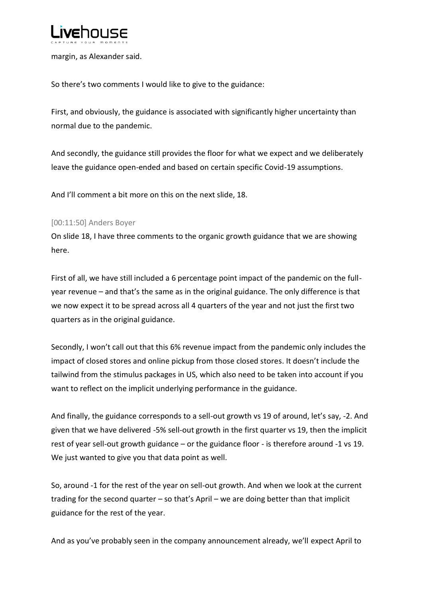

margin, as Alexander said.

So there's two comments I would like to give to the guidance:

First, and obviously, the guidance is associated with significantly higher uncertainty than normal due to the pandemic.

And secondly, the guidance still provides the floor for what we expect and we deliberately leave the guidance open-ended and based on certain specific Covid-19 assumptions.

And I'll comment a bit more on this on the next slide, 18.

## [00:11:50] Anders Boyer

On slide 18, I have three comments to the organic growth guidance that we are showing here.

First of all, we have still included a 6 percentage point impact of the pandemic on the fullyear revenue – and that's the same as in the original guidance. The only difference is that we now expect it to be spread across all 4 quarters of the year and not just the first two quarters as in the original guidance.

Secondly, I won't call out that this 6% revenue impact from the pandemic only includes the impact of closed stores and online pickup from those closed stores. It doesn't include the tailwind from the stimulus packages in US, which also need to be taken into account if you want to reflect on the implicit underlying performance in the guidance.

And finally, the guidance corresponds to a sell-out growth vs 19 of around, let's say, -2. And given that we have delivered -5% sell-out growth in the first quarter vs 19, then the implicit rest of year sell-out growth guidance – or the guidance floor - is therefore around -1 vs 19. We just wanted to give you that data point as well.

So, around -1 for the rest of the year on sell-out growth. And when we look at the current trading for the second quarter – so that's April – we are doing better than that implicit guidance for the rest of the year.

And as you've probably seen in the company announcement already, we'll expect April to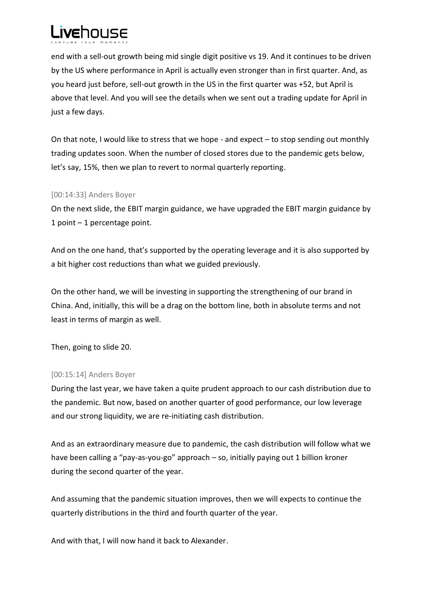

end with a sell-out growth being mid single digit positive vs 19. And it continues to be driven by the US where performance in April is actually even stronger than in first quarter. And, as you heard just before, sell-out growth in the US in the first quarter was +52, but April is above that level. And you will see the details when we sent out a trading update for April in just a few days.

On that note, I would like to stress that we hope - and expect – to stop sending out monthly trading updates soon. When the number of closed stores due to the pandemic gets below, let's say, 15%, then we plan to revert to normal quarterly reporting.

## [00:14:33] Anders Boyer

On the next slide, the EBIT margin guidance, we have upgraded the EBIT margin guidance by 1 point – 1 percentage point.

And on the one hand, that's supported by the operating leverage and it is also supported by a bit higher cost reductions than what we guided previously.

On the other hand, we will be investing in supporting the strengthening of our brand in China. And, initially, this will be a drag on the bottom line, both in absolute terms and not least in terms of margin as well.

Then, going to slide 20.

## [00:15:14] Anders Boyer

During the last year, we have taken a quite prudent approach to our cash distribution due to the pandemic. But now, based on another quarter of good performance, our low leverage and our strong liquidity, we are re-initiating cash distribution.

And as an extraordinary measure due to pandemic, the cash distribution will follow what we have been calling a "pay-as-you-go" approach – so, initially paying out 1 billion kroner during the second quarter of the year.

And assuming that the pandemic situation improves, then we will expects to continue the quarterly distributions in the third and fourth quarter of the year.

And with that, I will now hand it back to Alexander.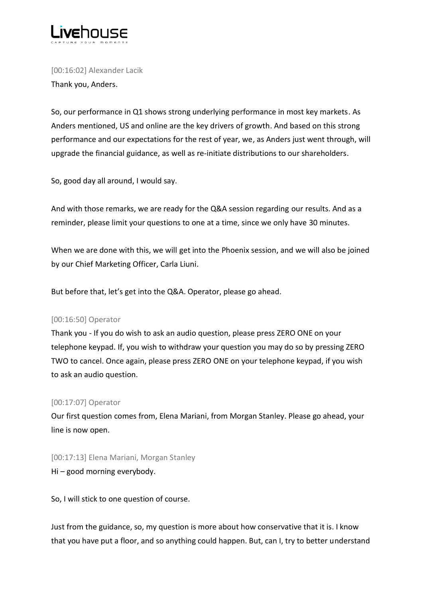

[00:16:02] Alexander Lacik Thank you, Anders.

So, our performance in Q1 shows strong underlying performance in most key markets. As Anders mentioned, US and online are the key drivers of growth. And based on this strong performance and our expectations for the rest of year, we, as Anders just went through, will upgrade the financial guidance, as well as re-initiate distributions to our shareholders.

So, good day all around, I would say.

And with those remarks, we are ready for the Q&A session regarding our results. And as a reminder, please limit your questions to one at a time, since we only have 30 minutes.

When we are done with this, we will get into the Phoenix session, and we will also be joined by our Chief Marketing Officer, Carla Liuni.

But before that, let's get into the Q&A. Operator, please go ahead.

## [00:16:50] Operator

Thank you - If you do wish to ask an audio question, please press ZERO ONE on your telephone keypad. If, you wish to withdraw your question you may do so by pressing ZERO TWO to cancel. Once again, please press ZERO ONE on your telephone keypad, if you wish to ask an audio question.

## [00:17:07] Operator

Our first question comes from, Elena Mariani, from Morgan Stanley. Please go ahead, your line is now open.

[00:17:13] Elena Mariani, Morgan Stanley Hi – good morning everybody.

So, I will stick to one question of course.

Just from the guidance, so, my question is more about how conservative that it is. I know that you have put a floor, and so anything could happen. But, can I, try to better understand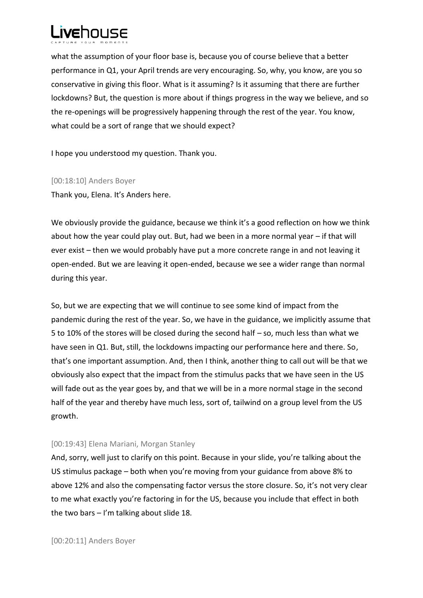

what the assumption of your floor base is, because you of course believe that a better performance in Q1, your April trends are very encouraging. So, why, you know, are you so conservative in giving this floor. What is it assuming? Is it assuming that there are further lockdowns? But, the question is more about if things progress in the way we believe, and so the re-openings will be progressively happening through the rest of the year. You know, what could be a sort of range that we should expect?

I hope you understood my question. Thank you.

[00:18:10] Anders Boyer

Thank you, Elena. It's Anders here.

We obviously provide the guidance, because we think it's a good reflection on how we think about how the year could play out. But, had we been in a more normal year – if that will ever exist – then we would probably have put a more concrete range in and not leaving it open-ended. But we are leaving it open-ended, because we see a wider range than normal during this year.

So, but we are expecting that we will continue to see some kind of impact from the pandemic during the rest of the year. So, we have in the guidance, we implicitly assume that 5 to 10% of the stores will be closed during the second half – so, much less than what we have seen in Q1. But, still, the lockdowns impacting our performance here and there. So, that's one important assumption. And, then I think, another thing to call out will be that we obviously also expect that the impact from the stimulus packs that we have seen in the US will fade out as the year goes by, and that we will be in a more normal stage in the second half of the year and thereby have much less, sort of, tailwind on a group level from the US growth.

## [00:19:43] Elena Mariani, Morgan Stanley

And, sorry, well just to clarify on this point. Because in your slide, you're talking about the US stimulus package – both when you're moving from your guidance from above 8% to above 12% and also the compensating factor versus the store closure. So, it's not very clear to me what exactly you're factoring in for the US, because you include that effect in both the two bars  $-1$ 'm talking about slide 18.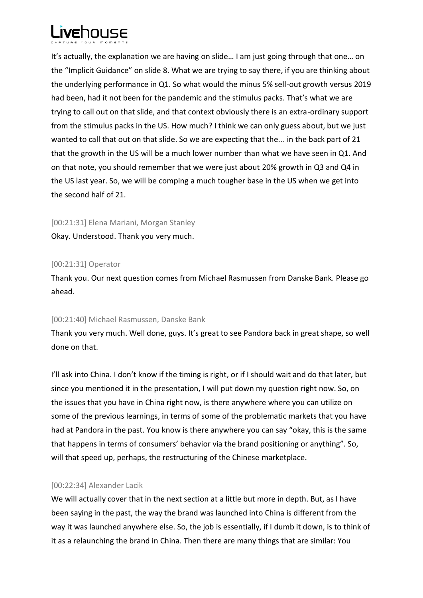

It's actually, the explanation we are having on slide… I am just going through that one… on the "Implicit Guidance" on slide 8. What we are trying to say there, if you are thinking about the underlying performance in Q1. So what would the minus 5% sell-out growth versus 2019 had been, had it not been for the pandemic and the stimulus packs. That's what we are trying to call out on that slide, and that context obviously there is an extra-ordinary support from the stimulus packs in the US. How much? I think we can only guess about, but we just wanted to call that out on that slide. So we are expecting that the... in the back part of 21 that the growth in the US will be a much lower number than what we have seen in Q1. And on that note, you should remember that we were just about 20% growth in Q3 and Q4 in the US last year. So, we will be comping a much tougher base in the US when we get into the second half of 21.

#### [00:21:31] Elena Mariani, Morgan Stanley

Okay. Understood. Thank you very much.

## [00:21:31] Operator

Thank you. Our next question comes from Michael Rasmussen from Danske Bank. Please go ahead.

## [00:21:40] Michael Rasmussen, Danske Bank

Thank you very much. Well done, guys. It's great to see Pandora back in great shape, so well done on that.

I'll ask into China. I don't know if the timing is right, or if I should wait and do that later, but since you mentioned it in the presentation, I will put down my question right now. So, on the issues that you have in China right now, is there anywhere where you can utilize on some of the previous learnings, in terms of some of the problematic markets that you have had at Pandora in the past. You know is there anywhere you can say "okay, this is the same that happens in terms of consumers' behavior via the brand positioning or anything". So, will that speed up, perhaps, the restructuring of the Chinese marketplace.

## [00:22:34] Alexander Lacik

We will actually cover that in the next section at a little but more in depth. But, as I have been saying in the past, the way the brand was launched into China is different from the way it was launched anywhere else. So, the job is essentially, if I dumb it down, is to think of it as a relaunching the brand in China. Then there are many things that are similar: You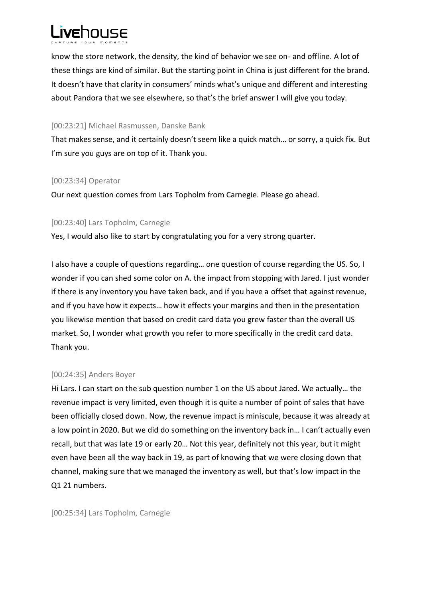

know the store network, the density, the kind of behavior we see on- and offline. A lot of these things are kind of similar. But the starting point in China is just different for the brand. It doesn't have that clarity in consumers' minds what's unique and different and interesting about Pandora that we see elsewhere, so that's the brief answer I will give you today.

## [00:23:21] Michael Rasmussen, Danske Bank

That makes sense, and it certainly doesn't seem like a quick match… or sorry, a quick fix. But I'm sure you guys are on top of it. Thank you.

## [00:23:34] Operator

Our next question comes from Lars Topholm from Carnegie. Please go ahead.

## [00:23:40] Lars Topholm, Carnegie

Yes, I would also like to start by congratulating you for a very strong quarter.

I also have a couple of questions regarding… one question of course regarding the US. So, I wonder if you can shed some color on A. the impact from stopping with Jared. I just wonder if there is any inventory you have taken back, and if you have a offset that against revenue, and if you have how it expects… how it effects your margins and then in the presentation you likewise mention that based on credit card data you grew faster than the overall US market. So, I wonder what growth you refer to more specifically in the credit card data. Thank you.

## [00:24:35] Anders Boyer

Hi Lars. I can start on the sub question number 1 on the US about Jared. We actually… the revenue impact is very limited, even though it is quite a number of point of sales that have been officially closed down. Now, the revenue impact is miniscule, because it was already at a low point in 2020. But we did do something on the inventory back in… I can't actually even recall, but that was late 19 or early 20… Not this year, definitely not this year, but it might even have been all the way back in 19, as part of knowing that we were closing down that channel, making sure that we managed the inventory as well, but that's low impact in the Q1 21 numbers.

[00:25:34] Lars Topholm, Carnegie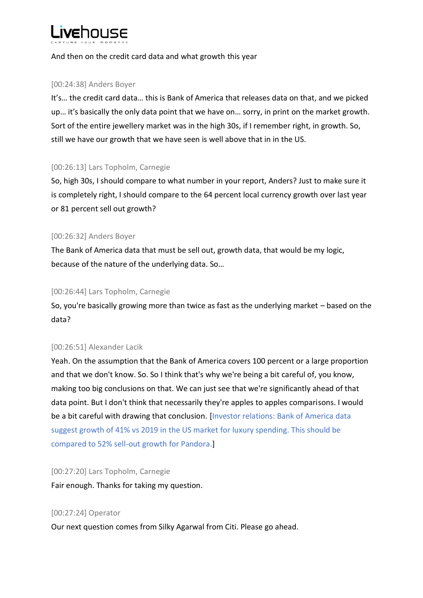

And then on the credit card data and what growth this year

## [00:24:38] Anders Boyer

It's… the credit card data… this is Bank of America that releases data on that, and we picked up… it's basically the only data point that we have on… sorry, in print on the market growth. Sort of the entire jewellery market was in the high 30s, if I remember right, in growth. So, still we have our growth that we have seen is well above that in in the US.

## [00:26:13] Lars Topholm, Carnegie

So, high 30s, I should compare to what number in your report, Anders? Just to make sure it is completely right, I should compare to the 64 percent local currency growth over last year or 81 percent sell out growth?

## [00:26:32] Anders Boyer

The Bank of America data that must be sell out, growth data, that would be my logic, because of the nature of the underlying data. So…

## [00:26:44] Lars Topholm, Carnegie

So, you're basically growing more than twice as fast as the underlying market – based on the data?

## [00:26:51] Alexander Lacik

Yeah. On the assumption that the Bank of America covers 100 percent or a large proportion and that we don't know. So. So I think that's why we're being a bit careful of, you know, making too big conclusions on that. We can just see that we're significantly ahead of that data point. But I don't think that necessarily they're apples to apples comparisons. I would be a bit careful with drawing that conclusion. [Investor relations: Bank of America data suggest growth of 41% vs 2019 in the US market for luxury spending. This should be compared to 52% sell-out growth for Pandora.]

## [00:27:20] Lars Topholm, Carnegie

Fair enough. Thanks for taking my question.

## [00:27:24] Operator

Our next question comes from Silky Agarwal from Citi. Please go ahead.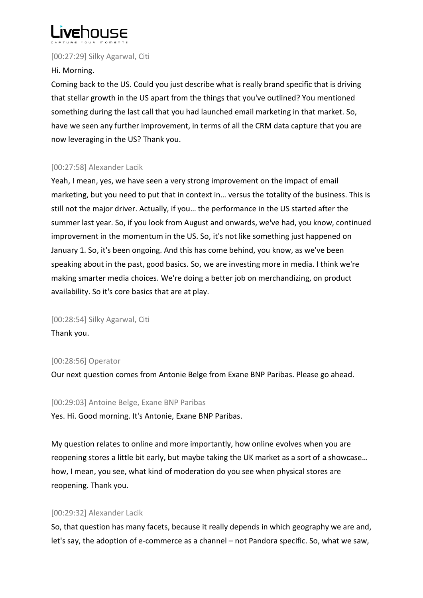

[00:27:29] Silky Agarwal, Citi

## Hi. Morning.

Coming back to the US. Could you just describe what is really brand specific that is driving that stellar growth in the US apart from the things that you've outlined? You mentioned something during the last call that you had launched email marketing in that market. So, have we seen any further improvement, in terms of all the CRM data capture that you are now leveraging in the US? Thank you.

## [00:27:58] Alexander Lacik

Yeah, I mean, yes, we have seen a very strong improvement on the impact of email marketing, but you need to put that in context in… versus the totality of the business. This is still not the major driver. Actually, if you… the performance in the US started after the summer last year. So, if you look from August and onwards, we've had, you know, continued improvement in the momentum in the US. So, it's not like something just happened on January 1. So, it's been ongoing. And this has come behind, you know, as we've been speaking about in the past, good basics. So, we are investing more in media. I think we're making smarter media choices. We're doing a better job on merchandizing, on product availability. So it's core basics that are at play.

[00:28:54] Silky Agarwal, Citi Thank you.

## [00:28:56] Operator

Our next question comes from Antonie Belge from Exane BNP Paribas. Please go ahead.

## [00:29:03] Antoine Belge, Exane BNP Paribas

Yes. Hi. Good morning. It's Antonie, Exane BNP Paribas.

My question relates to online and more importantly, how online evolves when you are reopening stores a little bit early, but maybe taking the UK market as a sort of a showcase… how, I mean, you see, what kind of moderation do you see when physical stores are reopening. Thank you.

# [00:29:32] Alexander Lacik

So, that question has many facets, because it really depends in which geography we are and, let's say, the adoption of e-commerce as a channel – not Pandora specific. So, what we saw,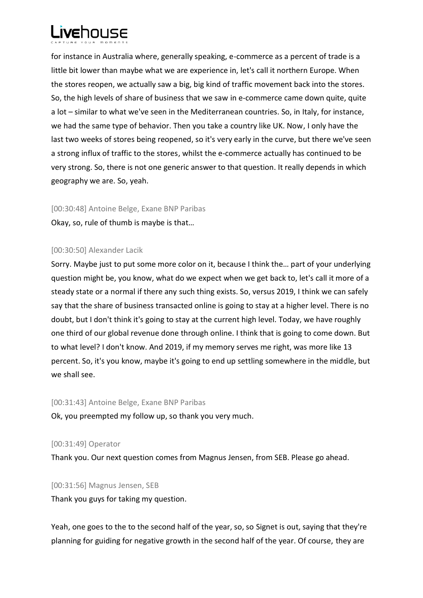

for instance in Australia where, generally speaking, e-commerce as a percent of trade is a little bit lower than maybe what we are experience in, let's call it northern Europe. When the stores reopen, we actually saw a big, big kind of traffic movement back into the stores. So, the high levels of share of business that we saw in e-commerce came down quite, quite a lot – similar to what we've seen in the Mediterranean countries. So, in Italy, for instance, we had the same type of behavior. Then you take a country like UK. Now, I only have the last two weeks of stores being reopened, so it's very early in the curve, but there we've seen a strong influx of traffic to the stores, whilst the e-commerce actually has continued to be very strong. So, there is not one generic answer to that question. It really depends in which geography we are. So, yeah.

#### [00:30:48] Antoine Belge, Exane BNP Paribas

Okay, so, rule of thumb is maybe is that…

## [00:30:50] Alexander Lacik

Sorry. Maybe just to put some more color on it, because I think the… part of your underlying question might be, you know, what do we expect when we get back to, let's call it more of a steady state or a normal if there any such thing exists. So, versus 2019, I think we can safely say that the share of business transacted online is going to stay at a higher level. There is no doubt, but I don't think it's going to stay at the current high level. Today, we have roughly one third of our global revenue done through online. I think that is going to come down. But to what level? I don't know. And 2019, if my memory serves me right, was more like 13 percent. So, it's you know, maybe it's going to end up settling somewhere in the middle, but we shall see.

#### [00:31:43] Antoine Belge, Exane BNP Paribas

Ok, you preempted my follow up, so thank you very much.

[00:31:49] Operator

Thank you. Our next question comes from Magnus Jensen, from SEB. Please go ahead.

[00:31:56] Magnus Jensen, SEB Thank you guys for taking my question.

Yeah, one goes to the to the second half of the year, so, so Signet is out, saying that they're planning for guiding for negative growth in the second half of the year. Of course, they are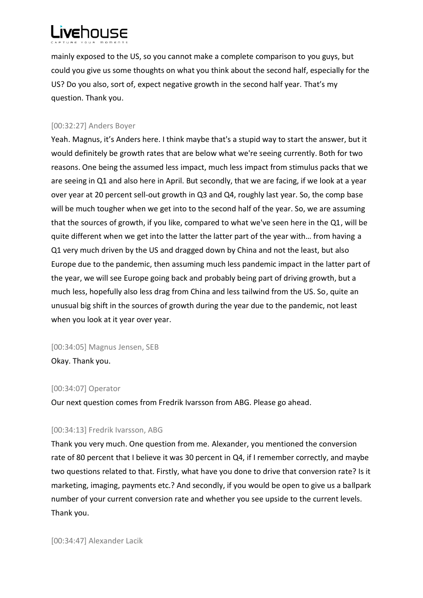

mainly exposed to the US, so you cannot make a complete comparison to you guys, but could you give us some thoughts on what you think about the second half, especially for the US? Do you also, sort of, expect negative growth in the second half year. That's my question. Thank you.

#### [00:32:27] Anders Boyer

Yeah. Magnus, it's Anders here. I think maybe that's a stupid way to start the answer, but it would definitely be growth rates that are below what we're seeing currently. Both for two reasons. One being the assumed less impact, much less impact from stimulus packs that we are seeing in Q1 and also here in April. But secondly, that we are facing, if we look at a year over year at 20 percent sell-out growth in Q3 and Q4, roughly last year. So, the comp base will be much tougher when we get into to the second half of the year. So, we are assuming that the sources of growth, if you like, compared to what we've seen here in the Q1, will be quite different when we get into the latter the latter part of the year with… from having a Q1 very much driven by the US and dragged down by China and not the least, but also Europe due to the pandemic, then assuming much less pandemic impact in the latter part of the year, we will see Europe going back and probably being part of driving growth, but a much less, hopefully also less drag from China and less tailwind from the US. So, quite an unusual big shift in the sources of growth during the year due to the pandemic, not least when you look at it year over year.

[00:34:05] Magnus Jensen, SEB

Okay. Thank you.

## [00:34:07] Operator

Our next question comes from Fredrik Ivarsson from ABG. Please go ahead.

## [00:34:13] Fredrik Ivarsson, ABG

Thank you very much. One question from me. Alexander, you mentioned the conversion rate of 80 percent that I believe it was 30 percent in Q4, if I remember correctly, and maybe two questions related to that. Firstly, what have you done to drive that conversion rate? Is it marketing, imaging, payments etc.? And secondly, if you would be open to give us a ballpark number of your current conversion rate and whether you see upside to the current levels. Thank you.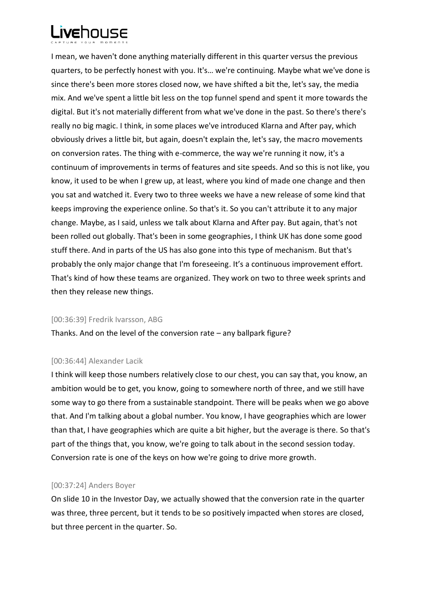

I mean, we haven't done anything materially different in this quarter versus the previous quarters, to be perfectly honest with you. It's… we're continuing. Maybe what we've done is since there's been more stores closed now, we have shifted a bit the, let's say, the media mix. And we've spent a little bit less on the top funnel spend and spent it more towards the digital. But it's not materially different from what we've done in the past. So there's there's really no big magic. I think, in some places we've introduced Klarna and After pay, which obviously drives a little bit, but again, doesn't explain the, let's say, the macro movements on conversion rates. The thing with e-commerce, the way we're running it now, it's a continuum of improvements in terms of features and site speeds. And so this is not like, you know, it used to be when I grew up, at least, where you kind of made one change and then you sat and watched it. Every two to three weeks we have a new release of some kind that keeps improving the experience online. So that's it. So you can't attribute it to any major change. Maybe, as I said, unless we talk about Klarna and After pay. But again, that's not been rolled out globally. That's been in some geographies, I think UK has done some good stuff there. And in parts of the US has also gone into this type of mechanism. But that's probably the only major change that I'm foreseeing. It's a continuous improvement effort. That's kind of how these teams are organized. They work on two to three week sprints and then they release new things.

#### [00:36:39] Fredrik Ivarsson, ABG

Thanks. And on the level of the conversion rate – any ballpark figure?

#### [00:36:44] Alexander Lacik

I think will keep those numbers relatively close to our chest, you can say that, you know, an ambition would be to get, you know, going to somewhere north of three, and we still have some way to go there from a sustainable standpoint. There will be peaks when we go above that. And I'm talking about a global number. You know, I have geographies which are lower than that, I have geographies which are quite a bit higher, but the average is there. So that's part of the things that, you know, we're going to talk about in the second session today. Conversion rate is one of the keys on how we're going to drive more growth.

## [00:37:24] Anders Boyer

On slide 10 in the Investor Day, we actually showed that the conversion rate in the quarter was three, three percent, but it tends to be so positively impacted when stores are closed, but three percent in the quarter. So.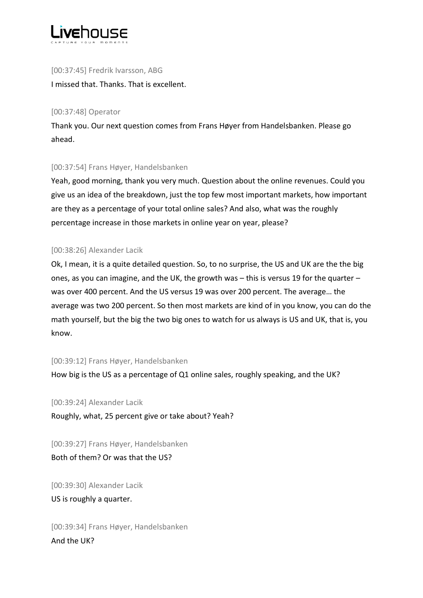

[00:37:45] Fredrik Ivarsson, ABG I missed that. Thanks. That is excellent.

## [00:37:48] Operator

Thank you. Our next question comes from Frans Høyer from Handelsbanken. Please go ahead.

# [00:37:54] Frans Høyer, Handelsbanken

Yeah, good morning, thank you very much. Question about the online revenues. Could you give us an idea of the breakdown, just the top few most important markets, how important are they as a percentage of your total online sales? And also, what was the roughly percentage increase in those markets in online year on year, please?

## [00:38:26] Alexander Lacik

Ok, I mean, it is a quite detailed question. So, to no surprise, the US and UK are the the big ones, as you can imagine, and the UK, the growth was – this is versus 19 for the quarter – was over 400 percent. And the US versus 19 was over 200 percent. The average… the average was two 200 percent. So then most markets are kind of in you know, you can do the math yourself, but the big the two big ones to watch for us always is US and UK, that is, you know.

## [00:39:12] Frans Høyer, Handelsbanken

How big is the US as a percentage of Q1 online sales, roughly speaking, and the UK?

[00:39:24] Alexander Lacik

Roughly, what, 25 percent give or take about? Yeah?

[00:39:27] Frans Høyer, Handelsbanken Both of them? Or was that the US?

[00:39:30] Alexander Lacik US is roughly a quarter.

[00:39:34] Frans Høyer, Handelsbanken And the UK?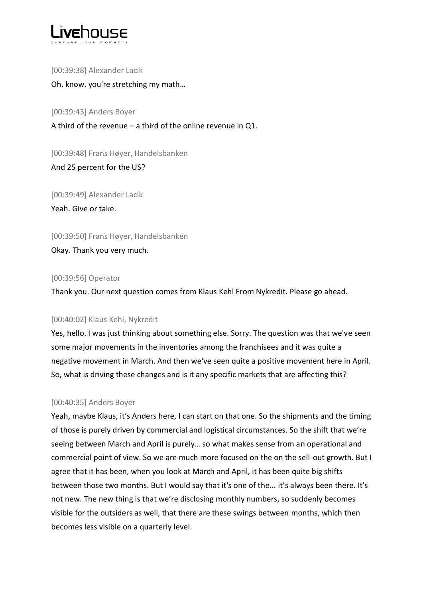

[00:39:38] Alexander Lacik Oh, know, you're stretching my math…

[00:39:43] Anders Boyer

A third of the revenue – a third of the online revenue in Q1.

[00:39:48] Frans Høyer, Handelsbanken

And 25 percent for the US?

[00:39:49] Alexander Lacik Yeah. Give or take.

[00:39:50] Frans Høyer, Handelsbanken Okay. Thank you very much.

## [00:39:56] Operator

Thank you. Our next question comes from Klaus Kehl From Nykredit. Please go ahead.

# [00:40:02] Klaus Kehl, Nykredit

Yes, hello. I was just thinking about something else. Sorry. The question was that we've seen some major movements in the inventories among the franchisees and it was quite a negative movement in March. And then we've seen quite a positive movement here in April. So, what is driving these changes and is it any specific markets that are affecting this?

## [00:40:35] Anders Boyer

Yeah, maybe Klaus, it's Anders here, I can start on that one. So the shipments and the timing of those is purely driven by commercial and logistical circumstances. So the shift that we're seeing between March and April is purely… so what makes sense from an operational and commercial point of view. So we are much more focused on the on the sell-out growth. But I agree that it has been, when you look at March and April, it has been quite big shifts between those two months. But I would say that it's one of the... it's always been there. It's not new. The new thing is that we're disclosing monthly numbers, so suddenly becomes visible for the outsiders as well, that there are these swings between months, which then becomes less visible on a quarterly level.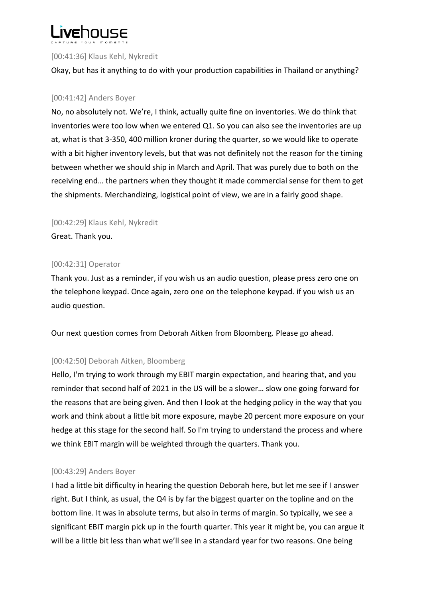

## [00:41:36] Klaus Kehl, Nykredit

Okay, but has it anything to do with your production capabilities in Thailand or anything?

## [00:41:42] Anders Boyer

No, no absolutely not. We're, I think, actually quite fine on inventories. We do think that inventories were too low when we entered Q1. So you can also see the inventories are up at, what is that 3-350, 400 million kroner during the quarter, so we would like to operate with a bit higher inventory levels, but that was not definitely not the reason for the timing between whether we should ship in March and April. That was purely due to both on the receiving end… the partners when they thought it made commercial sense for them to get the shipments. Merchandizing, logistical point of view, we are in a fairly good shape.

[00:42:29] Klaus Kehl, Nykredit

Great. Thank you.

## [00:42:31] Operator

Thank you. Just as a reminder, if you wish us an audio question, please press zero one on the telephone keypad. Once again, zero one on the telephone keypad. if you wish us an audio question.

Our next question comes from Deborah Aitken from Bloomberg. Please go ahead.

# [00:42:50] Deborah Aitken, Bloomberg

Hello, I'm trying to work through my EBIT margin expectation, and hearing that, and you reminder that second half of 2021 in the US will be a slower… slow one going forward for the reasons that are being given. And then I look at the hedging policy in the way that you work and think about a little bit more exposure, maybe 20 percent more exposure on your hedge at this stage for the second half. So I'm trying to understand the process and where we think EBIT margin will be weighted through the quarters. Thank you.

# [00:43:29] Anders Boyer

I had a little bit difficulty in hearing the question Deborah here, but let me see if I answer right. But I think, as usual, the Q4 is by far the biggest quarter on the topline and on the bottom line. It was in absolute terms, but also in terms of margin. So typically, we see a significant EBIT margin pick up in the fourth quarter. This year it might be, you can argue it will be a little bit less than what we'll see in a standard year for two reasons. One being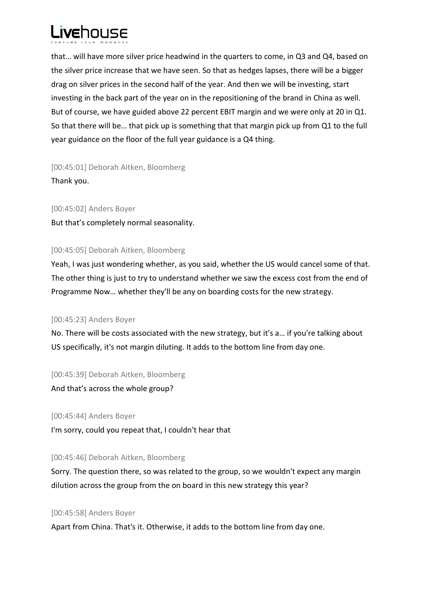

that… will have more silver price headwind in the quarters to come, in Q3 and Q4, based on the silver price increase that we have seen. So that as hedges lapses, there will be a bigger drag on silver prices in the second half of the year. And then we will be investing, start investing in the back part of the year on in the repositioning of the brand in China as well. But of course, we have guided above 22 percent EBIT margin and we were only at 20 in Q1. So that there will be… that pick up is something that that margin pick up from Q1 to the full year guidance on the floor of the full year guidance is a Q4 thing.

[00:45:01] Deborah Aitken, Bloomberg Thank you.

[00:45:02] Anders Boyer But that's completely normal seasonality.

## [00:45:05] Deborah Aitken, Bloomberg

Yeah, I was just wondering whether, as you said, whether the US would cancel some of that. The other thing is just to try to understand whether we saw the excess cost from the end of Programme Now… whether they'll be any on boarding costs for the new strategy.

# [00:45:23] Anders Boyer

No. There will be costs associated with the new strategy, but it's a… if you're talking about US specifically, it's not margin diluting. It adds to the bottom line from day one.

[00:45:39] Deborah Aitken, Bloomberg

And that's across the whole group?

[00:45:44] Anders Boyer

I'm sorry, could you repeat that, I couldn't hear that

[00:45:46] Deborah Aitken, Bloomberg

Sorry. The question there, so was related to the group, so we wouldn't expect any margin dilution across the group from the on board in this new strategy this year?

## [00:45:58] Anders Boyer

Apart from China. That's it. Otherwise, it adds to the bottom line from day one.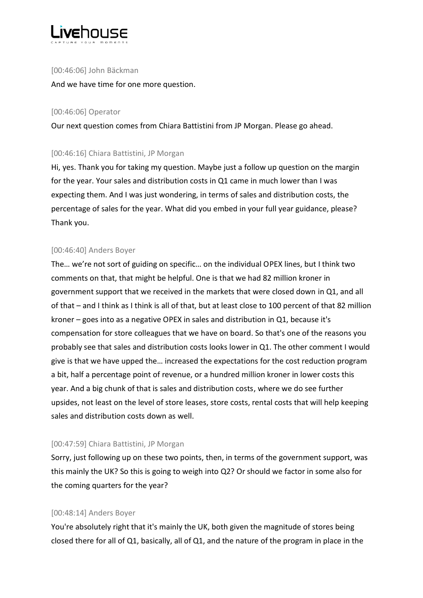

## [00:46:06] John Bäckman

And we have time for one more question.

## [00:46:06] Operator

Our next question comes from Chiara Battistini from JP Morgan. Please go ahead.

## [00:46:16] Chiara Battistini, JP Morgan

Hi, yes. Thank you for taking my question. Maybe just a follow up question on the margin for the year. Your sales and distribution costs in Q1 came in much lower than I was expecting them. And I was just wondering, in terms of sales and distribution costs, the percentage of sales for the year. What did you embed in your full year guidance, please? Thank you.

# [00:46:40] Anders Boyer

The… we're not sort of guiding on specific… on the individual OPEX lines, but I think two comments on that, that might be helpful. One is that we had 82 million kroner in government support that we received in the markets that were closed down in Q1, and all of that – and I think as I think is all of that, but at least close to 100 percent of that 82 million kroner – goes into as a negative OPEX in sales and distribution in Q1, because it's compensation for store colleagues that we have on board. So that's one of the reasons you probably see that sales and distribution costs looks lower in Q1. The other comment I would give is that we have upped the… increased the expectations for the cost reduction program a bit, half a percentage point of revenue, or a hundred million kroner in lower costs this year. And a big chunk of that is sales and distribution costs, where we do see further upsides, not least on the level of store leases, store costs, rental costs that will help keeping sales and distribution costs down as well.

# [00:47:59] Chiara Battistini, JP Morgan

Sorry, just following up on these two points, then, in terms of the government support, was this mainly the UK? So this is going to weigh into Q2? Or should we factor in some also for the coming quarters for the year?

# [00:48:14] Anders Boyer

You're absolutely right that it's mainly the UK, both given the magnitude of stores being closed there for all of Q1, basically, all of Q1, and the nature of the program in place in the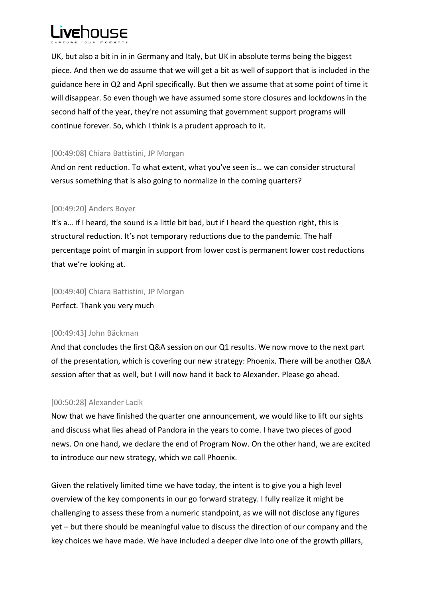

UK, but also a bit in in in Germany and Italy, but UK in absolute terms being the biggest piece. And then we do assume that we will get a bit as well of support that is included in the guidance here in Q2 and April specifically. But then we assume that at some point of time it will disappear. So even though we have assumed some store closures and lockdowns in the second half of the year, they're not assuming that government support programs will continue forever. So, which I think is a prudent approach to it.

## [00:49:08] Chiara Battistini, JP Morgan

And on rent reduction. To what extent, what you've seen is… we can consider structural versus something that is also going to normalize in the coming quarters?

## [00:49:20] Anders Boyer

It's a… if I heard, the sound is a little bit bad, but if I heard the question right, this is structural reduction. It's not temporary reductions due to the pandemic. The half percentage point of margin in support from lower cost is permanent lower cost reductions that we're looking at.

[00:49:40] Chiara Battistini, JP Morgan Perfect. Thank you very much

## [00:49:43] John Bäckman

And that concludes the first Q&A session on our Q1 results. We now move to the next part of the presentation, which is covering our new strategy: Phoenix. There will be another Q&A session after that as well, but I will now hand it back to Alexander. Please go ahead.

## [00:50:28] Alexander Lacik

Now that we have finished the quarter one announcement, we would like to lift our sights and discuss what lies ahead of Pandora in the years to come. I have two pieces of good news. On one hand, we declare the end of Program Now. On the other hand, we are excited to introduce our new strategy, which we call Phoenix.

Given the relatively limited time we have today, the intent is to give you a high level overview of the key components in our go forward strategy. I fully realize it might be challenging to assess these from a numeric standpoint, as we will not disclose any figures yet – but there should be meaningful value to discuss the direction of our company and the key choices we have made. We have included a deeper dive into one of the growth pillars,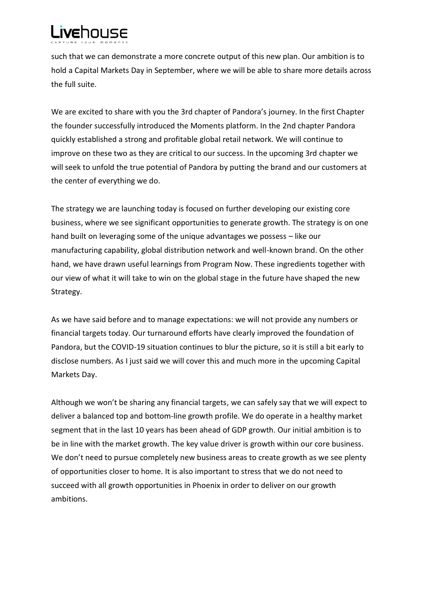# Livehouse

such that we can demonstrate a more concrete output of this new plan. Our ambition is to hold a Capital Markets Day in September, where we will be able to share more details across the full suite.

We are excited to share with you the 3rd chapter of Pandora's journey. In the first Chapter the founder successfully introduced the Moments platform. In the 2nd chapter Pandora quickly established a strong and profitable global retail network. We will continue to improve on these two as they are critical to our success. In the upcoming 3rd chapter we will seek to unfold the true potential of Pandora by putting the brand and our customers at the center of everything we do.

The strategy we are launching today is focused on further developing our existing core business, where we see significant opportunities to generate growth. The strategy is on one hand built on leveraging some of the unique advantages we possess – like our manufacturing capability, global distribution network and well-known brand. On the other hand, we have drawn useful learnings from Program Now. These ingredients together with our view of what it will take to win on the global stage in the future have shaped the new Strategy.

As we have said before and to manage expectations: we will not provide any numbers or financial targets today. Our turnaround efforts have clearly improved the foundation of Pandora, but the COVID-19 situation continues to blur the picture, so it is still a bit early to disclose numbers. As I just said we will cover this and much more in the upcoming Capital Markets Day.

Although we won't be sharing any financial targets, we can safely say that we will expect to deliver a balanced top and bottom-line growth profile. We do operate in a healthy market segment that in the last 10 years has been ahead of GDP growth. Our initial ambition is to be in line with the market growth. The key value driver is growth within our core business. We don't need to pursue completely new business areas to create growth as we see plenty of opportunities closer to home. It is also important to stress that we do not need to succeed with all growth opportunities in Phoenix in order to deliver on our growth ambitions.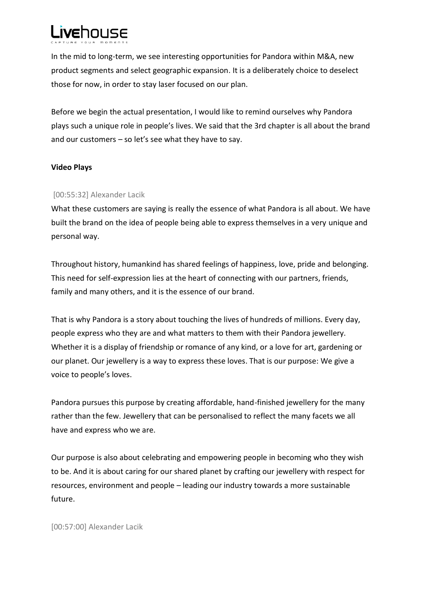

In the mid to long-term, we see interesting opportunities for Pandora within M&A, new product segments and select geographic expansion. It is a deliberately choice to deselect those for now, in order to stay laser focused on our plan.

Before we begin the actual presentation, I would like to remind ourselves why Pandora plays such a unique role in people's lives. We said that the 3rd chapter is all about the brand and our customers – so let's see what they have to say.

## **Video Plays**

## [00:55:32] Alexander Lacik

What these customers are saying is really the essence of what Pandora is all about. We have built the brand on the idea of people being able to express themselves in a very unique and personal way.

Throughout history, humankind has shared feelings of happiness, love, pride and belonging. This need for self-expression lies at the heart of connecting with our partners, friends, family and many others, and it is the essence of our brand.

That is why Pandora is a story about touching the lives of hundreds of millions. Every day, people express who they are and what matters to them with their Pandora jewellery. Whether it is a display of friendship or romance of any kind, or a love for art, gardening or our planet. Our jewellery is a way to express these loves. That is our purpose: We give a voice to people's loves.

Pandora pursues this purpose by creating affordable, hand-finished jewellery for the many rather than the few. Jewellery that can be personalised to reflect the many facets we all have and express who we are.

Our purpose is also about celebrating and empowering people in becoming who they wish to be. And it is about caring for our shared planet by crafting our jewellery with respect for resources, environment and people – leading our industry towards a more sustainable future.

[00:57:00] Alexander Lacik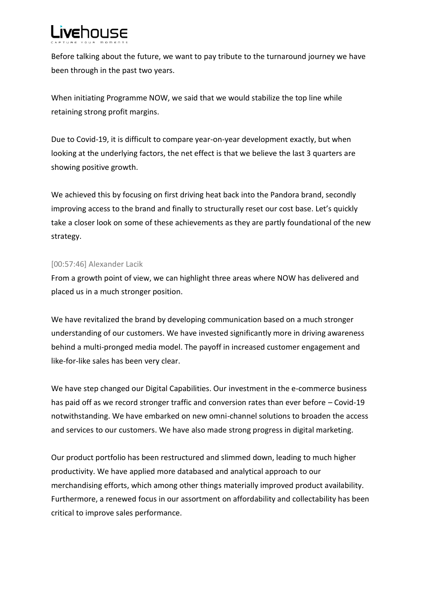

Before talking about the future, we want to pay tribute to the turnaround journey we have been through in the past two years.

When initiating Programme NOW, we said that we would stabilize the top line while retaining strong profit margins.

Due to Covid-19, it is difficult to compare year-on-year development exactly, but when looking at the underlying factors, the net effect is that we believe the last 3 quarters are showing positive growth.

We achieved this by focusing on first driving heat back into the Pandora brand, secondly improving access to the brand and finally to structurally reset our cost base. Let's quickly take a closer look on some of these achievements as they are partly foundational of the new strategy.

## [00:57:46] Alexander Lacik

From a growth point of view, we can highlight three areas where NOW has delivered and placed us in a much stronger position.

We have revitalized the brand by developing communication based on a much stronger understanding of our customers. We have invested significantly more in driving awareness behind a multi-pronged media model. The payoff in increased customer engagement and like-for-like sales has been very clear.

We have step changed our Digital Capabilities. Our investment in the e-commerce business has paid off as we record stronger traffic and conversion rates than ever before – Covid-19 notwithstanding. We have embarked on new omni-channel solutions to broaden the access and services to our customers. We have also made strong progress in digital marketing.

Our product portfolio has been restructured and slimmed down, leading to much higher productivity. We have applied more databased and analytical approach to our merchandising efforts, which among other things materially improved product availability. Furthermore, a renewed focus in our assortment on affordability and collectability has been critical to improve sales performance.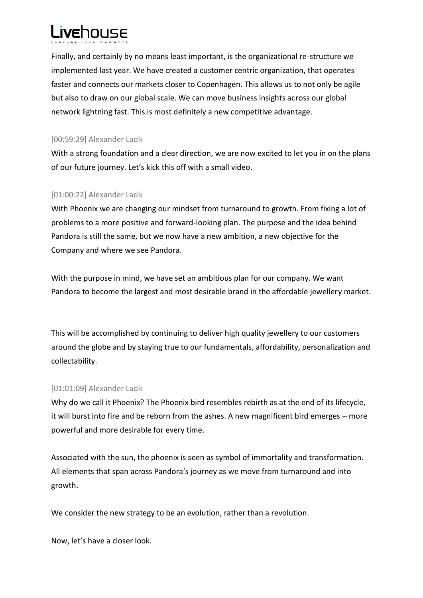

Finally, and certainly by no means least important, is the organizational re-structure we implemented last year. We have created a customer centric organization, that operates faster and connects our markets closer to Copenhagen. This allows us to not only be agile but also to draw on our global scale. We can move business insights across our global network lightning fast. This is most definitely a new competitive advantage.

## [00:59:29] Alexander Lacik

With a strong foundation and a clear direction, we are now excited to let you in on the plans of our future journey. Let's kick this off with a small video.

# [01:00:22] Alexander Lacik

With Phoenix we are changing our mindset from turnaround to growth. From fixing a lot of problems to a more positive and forward-looking plan. The purpose and the idea behind Pandora is still the same, but we now have a new ambition, a new objective for the Company and where we see Pandora.

With the purpose in mind, we have set an ambitious plan for our company. We want Pandora to become the largest and most desirable brand in the affordable jewellery market.

This will be accomplished by continuing to deliver high quality jewellery to our customers around the globe and by staying true to our fundamentals, affordability, personalization and collectability.

# [01:01:09] Alexander Lacik

Why do we call it Phoenix? The Phoenix bird resembles rebirth as at the end of its lifecycle, it will burst into fire and be reborn from the ashes. A new magnificent bird emerges – more powerful and more desirable for every time.

Associated with the sun, the phoenix is seen as symbol of immortality and transformation. All elements that span across Pandora's journey as we move from turnaround and into growth.

We consider the new strategy to be an evolution, rather than a revolution.

Now, let's have a closer look.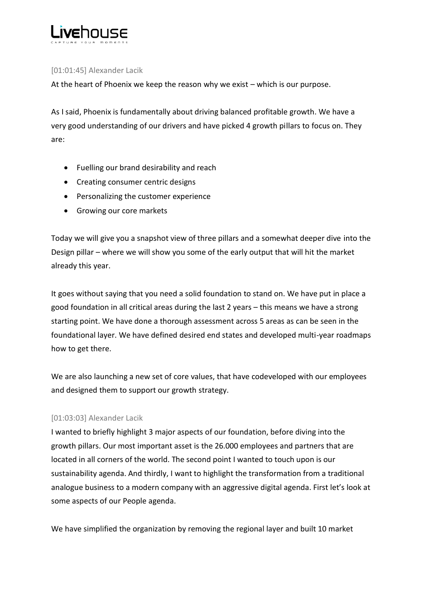

## [01:01:45] Alexander Lacik

At the heart of Phoenix we keep the reason why we exist – which is our purpose.

As I said, Phoenix is fundamentally about driving balanced profitable growth. We have a very good understanding of our drivers and have picked 4 growth pillars to focus on. They are:

- Fuelling our brand desirability and reach
- Creating consumer centric designs
- Personalizing the customer experience
- Growing our core markets

Today we will give you a snapshot view of three pillars and a somewhat deeper dive into the Design pillar – where we will show you some of the early output that will hit the market already this year.

It goes without saying that you need a solid foundation to stand on. We have put in place a good foundation in all critical areas during the last 2 years – this means we have a strong starting point. We have done a thorough assessment across 5 areas as can be seen in the foundational layer. We have defined desired end states and developed multi-year roadmaps how to get there.

We are also launching a new set of core values, that have codeveloped with our employees and designed them to support our growth strategy.

## [01:03:03] Alexander Lacik

I wanted to briefly highlight 3 major aspects of our foundation, before diving into the growth pillars. Our most important asset is the 26.000 employees and partners that are located in all corners of the world. The second point I wanted to touch upon is our sustainability agenda. And thirdly, I want to highlight the transformation from a traditional analogue business to a modern company with an aggressive digital agenda. First let's look at some aspects of our People agenda.

We have simplified the organization by removing the regional layer and built 10 market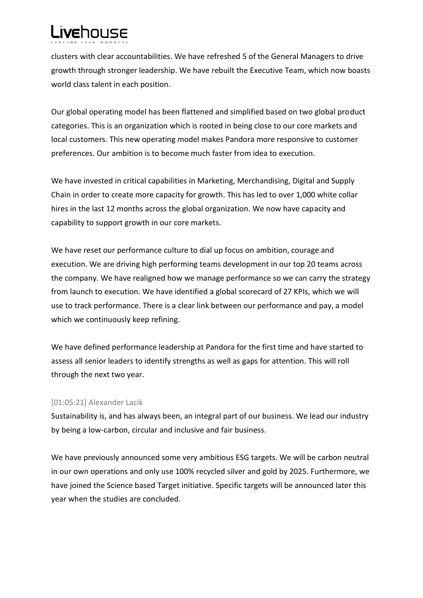# **Livehouse**

clusters with clear accountabilities. We have refreshed 5 of the General Managers to drive growth through stronger leadership. We have rebuilt the Executive Team, which now boasts world class talent in each position.

Our global operating model has been flattened and simplified based on two global product categories. This is an organization which is rooted in being close to our core markets and local customers. This new operating model makes Pandora more responsive to customer preferences. Our ambition is to become much faster from idea to execution.

We have invested in critical capabilities in Marketing, Merchandising, Digital and Supply Chain in order to create more capacity for growth. This has led to over 1,000 white collar hires in the last 12 months across the global organization. We now have capacity and capability to support growth in our core markets.

We have reset our performance culture to dial up focus on ambition, courage and execution. We are driving high performing teams development in our top 20 teams across the company. We have realigned how we manage performance so we can carry the strategy from launch to execution. We have identified a global scorecard of 27 KPIs, which we will use to track performance. There is a clear link between our performance and pay, a model which we continuously keep refining.

We have defined performance leadership at Pandora for the first time and have started to assess all senior leaders to identify strengths as well as gaps for attention. This will roll through the next two year.

# [01:05:21] Alexander Lacik

Sustainability is, and has always been, an integral part of our business. We lead our industry by being a low-carbon, circular and inclusive and fair business.

We have previously announced some very ambitious ESG targets. We will be carbon neutral in our own operations and only use 100% recycled silver and gold by 2025. Furthermore, we have joined the Science based Target initiative. Specific targets will be announced later this year when the studies are concluded.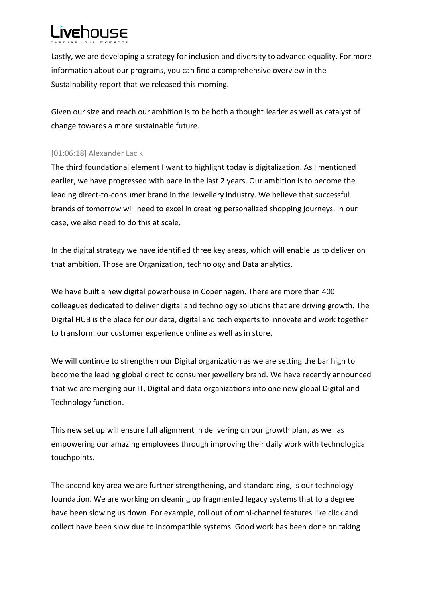

Lastly, we are developing a strategy for inclusion and diversity to advance equality. For more information about our programs, you can find a comprehensive overview in the Sustainability report that we released this morning.

Given our size and reach our ambition is to be both a thought leader as well as catalyst of change towards a more sustainable future.

## [01:06:18] Alexander Lacik

The third foundational element I want to highlight today is digitalization. As I mentioned earlier, we have progressed with pace in the last 2 years. Our ambition is to become the leading direct-to-consumer brand in the Jewellery industry. We believe that successful brands of tomorrow will need to excel in creating personalized shopping journeys. In our case, we also need to do this at scale.

In the digital strategy we have identified three key areas, which will enable us to deliver on that ambition. Those are Organization, technology and Data analytics.

We have built a new digital powerhouse in Copenhagen. There are more than 400 colleagues dedicated to deliver digital and technology solutions that are driving growth. The Digital HUB is the place for our data, digital and tech experts to innovate and work together to transform our customer experience online as well as in store.

We will continue to strengthen our Digital organization as we are setting the bar high to become the leading global direct to consumer jewellery brand. We have recently announced that we are merging our IT, Digital and data organizations into one new global Digital and Technology function.

This new set up will ensure full alignment in delivering on our growth plan, as well as empowering our amazing employees through improving their daily work with technological touchpoints.

The second key area we are further strengthening, and standardizing, is our technology foundation. We are working on cleaning up fragmented legacy systems that to a degree have been slowing us down. For example, roll out of omni-channel features like click and collect have been slow due to incompatible systems. Good work has been done on taking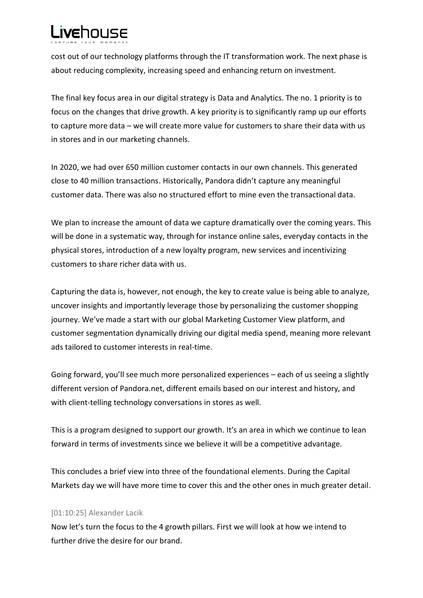

cost out of our technology platforms through the IT transformation work. The next phase is about reducing complexity, increasing speed and enhancing return on investment.

The final key focus area in our digital strategy is Data and Analytics. The no. 1 priority is to focus on the changes that drive growth. A key priority is to significantly ramp up our efforts to capture more data – we will create more value for customers to share their data with us in stores and in our marketing channels.

In 2020, we had over 650 million customer contacts in our own channels. This generated close to 40 million transactions. Historically, Pandora didn't capture any meaningful customer data. There was also no structured effort to mine even the transactional data.

We plan to increase the amount of data we capture dramatically over the coming years. This will be done in a systematic way, through for instance online sales, everyday contacts in the physical stores, introduction of a new loyalty program, new services and incentivizing customers to share richer data with us.

Capturing the data is, however, not enough, the key to create value is being able to analyze, uncover insights and importantly leverage those by personalizing the customer shopping journey. We've made a start with our global Marketing Customer View platform, and customer segmentation dynamically driving our digital media spend, meaning more relevant ads tailored to customer interests in real-time.

Going forward, you'll see much more personalized experiences – each of us seeing a slightly different version of Pandora.net, different emails based on our interest and history, and with client-telling technology conversations in stores as well.

This is a program designed to support our growth. It's an area in which we continue to lean forward in terms of investments since we believe it will be a competitive advantage.

This concludes a brief view into three of the foundational elements. During the Capital Markets day we will have more time to cover this and the other ones in much greater detail.

# [01:10:25] Alexander Lacik

Now let's turn the focus to the 4 growth pillars. First we will look at how we intend to further drive the desire for our brand.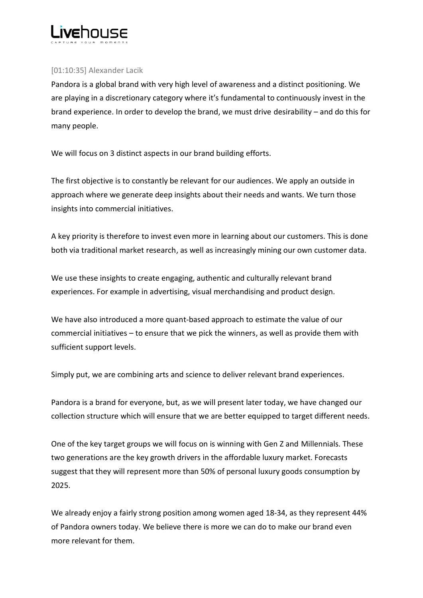

## [01:10:35] Alexander Lacik

Pandora is a global brand with very high level of awareness and a distinct positioning. We are playing in a discretionary category where it's fundamental to continuously invest in the brand experience. In order to develop the brand, we must drive desirability – and do this for many people.

We will focus on 3 distinct aspects in our brand building efforts.

The first objective is to constantly be relevant for our audiences. We apply an outside in approach where we generate deep insights about their needs and wants. We turn those insights into commercial initiatives.

A key priority is therefore to invest even more in learning about our customers. This is done both via traditional market research, as well as increasingly mining our own customer data.

We use these insights to create engaging, authentic and culturally relevant brand experiences. For example in advertising, visual merchandising and product design.

We have also introduced a more quant-based approach to estimate the value of our commercial initiatives – to ensure that we pick the winners, as well as provide them with sufficient support levels.

Simply put, we are combining arts and science to deliver relevant brand experiences.

Pandora is a brand for everyone, but, as we will present later today, we have changed our collection structure which will ensure that we are better equipped to target different needs.

One of the key target groups we will focus on is winning with Gen Z and Millennials. These two generations are the key growth drivers in the affordable luxury market. Forecasts suggest that they will represent more than 50% of personal luxury goods consumption by 2025.

We already enjoy a fairly strong position among women aged 18-34, as they represent 44% of Pandora owners today. We believe there is more we can do to make our brand even more relevant for them.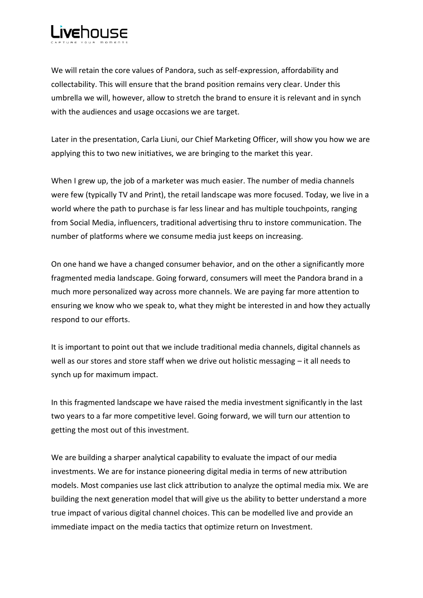

We will retain the core values of Pandora, such as self-expression, affordability and collectability. This will ensure that the brand position remains very clear. Under this umbrella we will, however, allow to stretch the brand to ensure it is relevant and in synch with the audiences and usage occasions we are target.

Later in the presentation, Carla Liuni, our Chief Marketing Officer, will show you how we are applying this to two new initiatives, we are bringing to the market this year.

When I grew up, the job of a marketer was much easier. The number of media channels were few (typically TV and Print), the retail landscape was more focused. Today, we live in a world where the path to purchase is far less linear and has multiple touchpoints, ranging from Social Media, influencers, traditional advertising thru to instore communication. The number of platforms where we consume media just keeps on increasing.

On one hand we have a changed consumer behavior, and on the other a significantly more fragmented media landscape. Going forward, consumers will meet the Pandora brand in a much more personalized way across more channels. We are paying far more attention to ensuring we know who we speak to, what they might be interested in and how they actually respond to our efforts.

It is important to point out that we include traditional media channels, digital channels as well as our stores and store staff when we drive out holistic messaging – it all needs to synch up for maximum impact.

In this fragmented landscape we have raised the media investment significantly in the last two years to a far more competitive level. Going forward, we will turn our attention to getting the most out of this investment.

We are building a sharper analytical capability to evaluate the impact of our media investments. We are for instance pioneering digital media in terms of new attribution models. Most companies use last click attribution to analyze the optimal media mix. We are building the next generation model that will give us the ability to better understand a more true impact of various digital channel choices. This can be modelled live and provide an immediate impact on the media tactics that optimize return on Investment.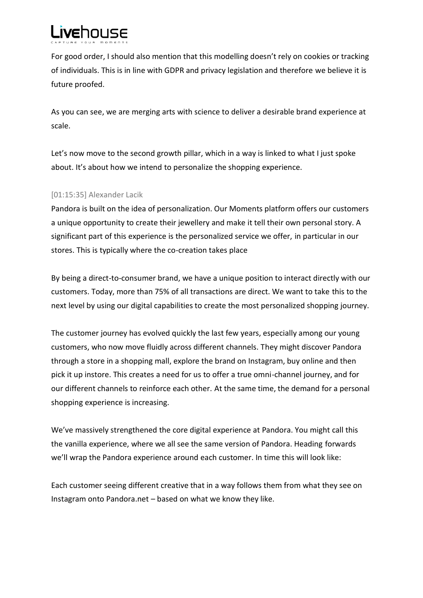

For good order, I should also mention that this modelling doesn't rely on cookies or tracking of individuals. This is in line with GDPR and privacy legislation and therefore we believe it is future proofed.

As you can see, we are merging arts with science to deliver a desirable brand experience at scale.

Let's now move to the second growth pillar, which in a way is linked to what I just spoke about. It's about how we intend to personalize the shopping experience.

# [01:15:35] Alexander Lacik

Pandora is built on the idea of personalization. Our Moments platform offers our customers a unique opportunity to create their jewellery and make it tell their own personal story. A significant part of this experience is the personalized service we offer, in particular in our stores. This is typically where the co-creation takes place

By being a direct-to-consumer brand, we have a unique position to interact directly with our customers. Today, more than 75% of all transactions are direct. We want to take this to the next level by using our digital capabilities to create the most personalized shopping journey.

The customer journey has evolved quickly the last few years, especially among our young customers, who now move fluidly across different channels. They might discover Pandora through a store in a shopping mall, explore the brand on Instagram, buy online and then pick it up instore. This creates a need for us to offer a true omni-channel journey, and for our different channels to reinforce each other. At the same time, the demand for a personal shopping experience is increasing.

We've massively strengthened the core digital experience at Pandora. You might call this the vanilla experience, where we all see the same version of Pandora. Heading forwards we'll wrap the Pandora experience around each customer. In time this will look like:

Each customer seeing different creative that in a way follows them from what they see on Instagram onto Pandora.net – based on what we know they like.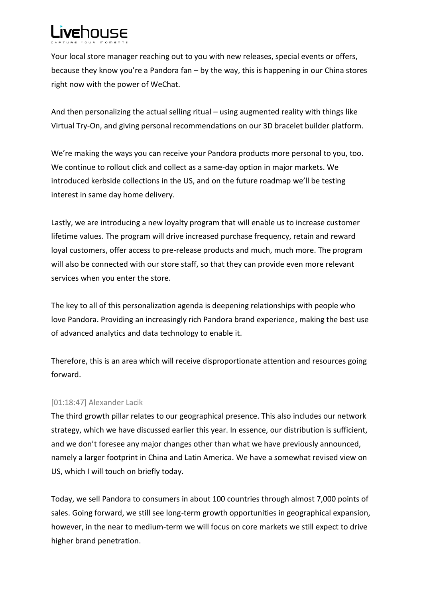# **Livehouse**

Your local store manager reaching out to you with new releases, special events or offers, because they know you're a Pandora fan – by the way, this is happening in our China stores right now with the power of WeChat.

And then personalizing the actual selling ritual – using augmented reality with things like Virtual Try-On, and giving personal recommendations on our 3D bracelet builder platform.

We're making the ways you can receive your Pandora products more personal to you, too. We continue to rollout click and collect as a same-day option in major markets. We introduced kerbside collections in the US, and on the future roadmap we'll be testing interest in same day home delivery.

Lastly, we are introducing a new loyalty program that will enable us to increase customer lifetime values. The program will drive increased purchase frequency, retain and reward loyal customers, offer access to pre-release products and much, much more. The program will also be connected with our store staff, so that they can provide even more relevant services when you enter the store.

The key to all of this personalization agenda is deepening relationships with people who love Pandora. Providing an increasingly rich Pandora brand experience, making the best use of advanced analytics and data technology to enable it.

Therefore, this is an area which will receive disproportionate attention and resources going forward.

# [01:18:47] Alexander Lacik

The third growth pillar relates to our geographical presence. This also includes our network strategy, which we have discussed earlier this year. In essence, our distribution is sufficient, and we don't foresee any major changes other than what we have previously announced, namely a larger footprint in China and Latin America. We have a somewhat revised view on US, which I will touch on briefly today.

Today, we sell Pandora to consumers in about 100 countries through almost 7,000 points of sales. Going forward, we still see long-term growth opportunities in geographical expansion, however, in the near to medium-term we will focus on core markets we still expect to drive higher brand penetration.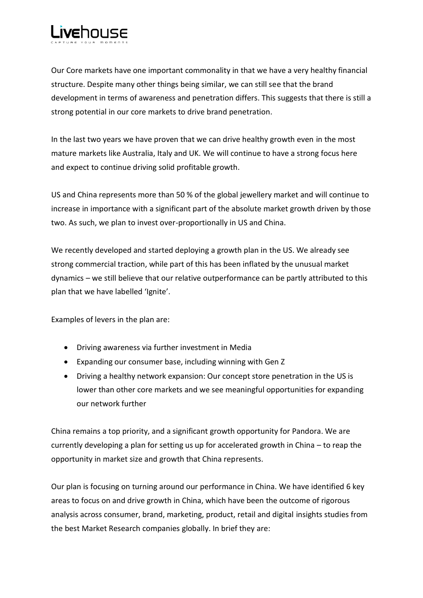

Our Core markets have one important commonality in that we have a very healthy financial structure. Despite many other things being similar, we can still see that the brand development in terms of awareness and penetration differs. This suggests that there is still a strong potential in our core markets to drive brand penetration.

In the last two years we have proven that we can drive healthy growth even in the most mature markets like Australia, Italy and UK. We will continue to have a strong focus here and expect to continue driving solid profitable growth.

US and China represents more than 50 % of the global jewellery market and will continue to increase in importance with a significant part of the absolute market growth driven by those two. As such, we plan to invest over-proportionally in US and China.

We recently developed and started deploying a growth plan in the US. We already see strong commercial traction, while part of this has been inflated by the unusual market dynamics – we still believe that our relative outperformance can be partly attributed to this plan that we have labelled 'Ignite'.

Examples of levers in the plan are:

- Driving awareness via further investment in Media
- Expanding our consumer base, including winning with Gen Z
- Driving a healthy network expansion: Our concept store penetration in the US is lower than other core markets and we see meaningful opportunities for expanding our network further

China remains a top priority, and a significant growth opportunity for Pandora. We are currently developing a plan for setting us up for accelerated growth in China – to reap the opportunity in market size and growth that China represents.

Our plan is focusing on turning around our performance in China. We have identified 6 key areas to focus on and drive growth in China, which have been the outcome of rigorous analysis across consumer, brand, marketing, product, retail and digital insights studies from the best Market Research companies globally. In brief they are: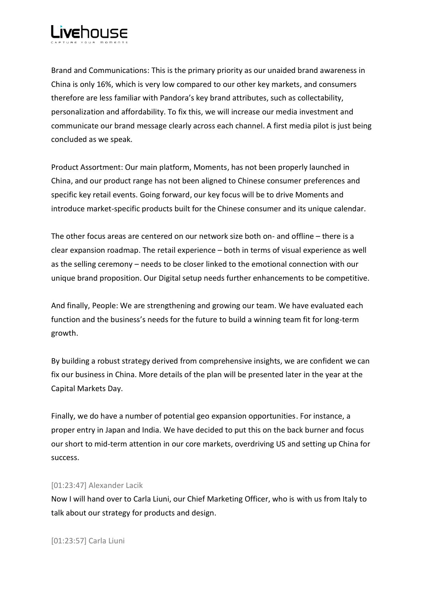

Brand and Communications: This is the primary priority as our unaided brand awareness in China is only 16%, which is very low compared to our other key markets, and consumers therefore are less familiar with Pandora's key brand attributes, such as collectability, personalization and affordability. To fix this, we will increase our media investment and communicate our brand message clearly across each channel. A first media pilot is just being concluded as we speak.

Product Assortment: Our main platform, Moments, has not been properly launched in China, and our product range has not been aligned to Chinese consumer preferences and specific key retail events. Going forward, our key focus will be to drive Moments and introduce market-specific products built for the Chinese consumer and its unique calendar.

The other focus areas are centered on our network size both on- and offline – there is a clear expansion roadmap. The retail experience – both in terms of visual experience as well as the selling ceremony – needs to be closer linked to the emotional connection with our unique brand proposition. Our Digital setup needs further enhancements to be competitive.

And finally, People: We are strengthening and growing our team. We have evaluated each function and the business's needs for the future to build a winning team fit for long-term growth.

By building a robust strategy derived from comprehensive insights, we are confident we can fix our business in China. More details of the plan will be presented later in the year at the Capital Markets Day.

Finally, we do have a number of potential geo expansion opportunities. For instance, a proper entry in Japan and India. We have decided to put this on the back burner and focus our short to mid-term attention in our core markets, overdriving US and setting up China for success.

## [01:23:47] Alexander Lacik

Now I will hand over to Carla Liuni, our Chief Marketing Officer, who is with us from Italy to talk about our strategy for products and design.

[01:23:57] Carla Liuni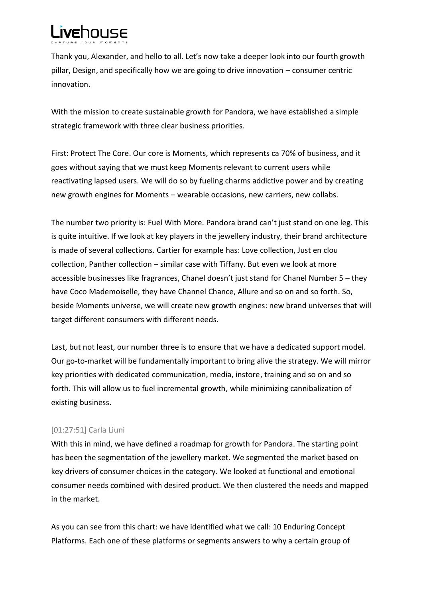

Thank you, Alexander, and hello to all. Let's now take a deeper look into our fourth growth pillar, Design, and specifically how we are going to drive innovation – consumer centric innovation.

With the mission to create sustainable growth for Pandora, we have established a simple strategic framework with three clear business priorities.

First: Protect The Core. Our core is Moments, which represents ca 70% of business, and it goes without saying that we must keep Moments relevant to current users while reactivating lapsed users. We will do so by fueling charms addictive power and by creating new growth engines for Moments – wearable occasions, new carriers, new collabs.

The number two priority is: Fuel With More. Pandora brand can't just stand on one leg. This is quite intuitive. If we look at key players in the jewellery industry, their brand architecture is made of several collections. Cartier for example has: Love collection, Just en clou collection, Panther collection – similar case with Tiffany. But even we look at more accessible businesses like fragrances, Chanel doesn't just stand for Chanel Number 5 – they have Coco Mademoiselle, they have Channel Chance, Allure and so on and so forth. So, beside Moments universe, we will create new growth engines: new brand universes that will target different consumers with different needs.

Last, but not least, our number three is to ensure that we have a dedicated support model. Our go-to-market will be fundamentally important to bring alive the strategy. We will mirror key priorities with dedicated communication, media, instore, training and so on and so forth. This will allow us to fuel incremental growth, while minimizing cannibalization of existing business.

## [01:27:51] Carla Liuni

With this in mind, we have defined a roadmap for growth for Pandora. The starting point has been the segmentation of the jewellery market. We segmented the market based on key drivers of consumer choices in the category. We looked at functional and emotional consumer needs combined with desired product. We then clustered the needs and mapped in the market.

As you can see from this chart: we have identified what we call: 10 Enduring Concept Platforms. Each one of these platforms or segments answers to why a certain group of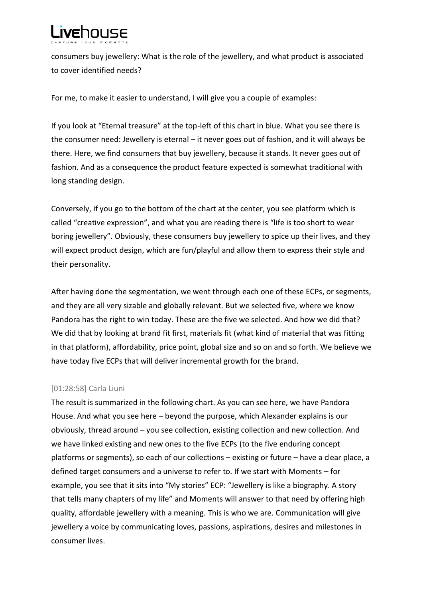

consumers buy jewellery: What is the role of the jewellery, and what product is associated to cover identified needs?

For me, to make it easier to understand, I will give you a couple of examples:

If you look at "Eternal treasure" at the top-left of this chart in blue. What you see there is the consumer need: Jewellery is eternal – it never goes out of fashion, and it will always be there. Here, we find consumers that buy jewellery, because it stands. It never goes out of fashion. And as a consequence the product feature expected is somewhat traditional with long standing design.

Conversely, if you go to the bottom of the chart at the center, you see platform which is called "creative expression", and what you are reading there is "life is too short to wear boring jewellery". Obviously, these consumers buy jewellery to spice up their lives, and they will expect product design, which are fun/playful and allow them to express their style and their personality.

After having done the segmentation, we went through each one of these ECPs, or segments, and they are all very sizable and globally relevant. But we selected five, where we know Pandora has the right to win today. These are the five we selected. And how we did that? We did that by looking at brand fit first, materials fit (what kind of material that was fitting in that platform), affordability, price point, global size and so on and so forth. We believe we have today five ECPs that will deliver incremental growth for the brand.

# [01:28:58] Carla Liuni

The result is summarized in the following chart. As you can see here, we have Pandora House. And what you see here – beyond the purpose, which Alexander explains is our obviously, thread around – you see collection, existing collection and new collection. And we have linked existing and new ones to the five ECPs (to the five enduring concept platforms or segments), so each of our collections – existing or future – have a clear place, a defined target consumers and a universe to refer to. If we start with Moments – for example, you see that it sits into "My stories" ECP: "Jewellery is like a biography. A story that tells many chapters of my life" and Moments will answer to that need by offering high quality, affordable jewellery with a meaning. This is who we are. Communication will give jewellery a voice by communicating loves, passions, aspirations, desires and milestones in consumer lives.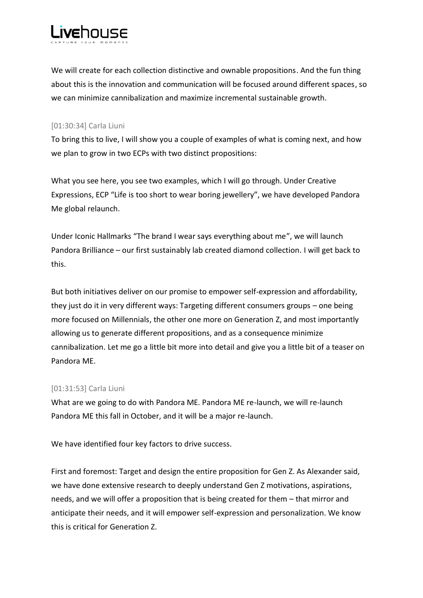

We will create for each collection distinctive and ownable propositions. And the fun thing about this is the innovation and communication will be focused around different spaces, so we can minimize cannibalization and maximize incremental sustainable growth.

## [01:30:34] Carla Liuni

To bring this to live, I will show you a couple of examples of what is coming next, and how we plan to grow in two ECPs with two distinct propositions:

What you see here, you see two examples, which I will go through. Under Creative Expressions, ECP "Life is too short to wear boring jewellery", we have developed Pandora Me global relaunch.

Under Iconic Hallmarks "The brand I wear says everything about me", we will launch Pandora Brilliance – our first sustainably lab created diamond collection. I will get back to this.

But both initiatives deliver on our promise to empower self-expression and affordability, they just do it in very different ways: Targeting different consumers groups – one being more focused on Millennials, the other one more on Generation Z, and most importantly allowing us to generate different propositions, and as a consequence minimize cannibalization. Let me go a little bit more into detail and give you a little bit of a teaser on Pandora ME.

# [01:31:53] Carla Liuni

What are we going to do with Pandora ME. Pandora ME re-launch, we will re-launch Pandora ME this fall in October, and it will be a major re-launch.

We have identified four key factors to drive success.

First and foremost: Target and design the entire proposition for Gen Z. As Alexander said, we have done extensive research to deeply understand Gen Z motivations, aspirations, needs, and we will offer a proposition that is being created for them – that mirror and anticipate their needs, and it will empower self-expression and personalization. We know this is critical for Generation Z.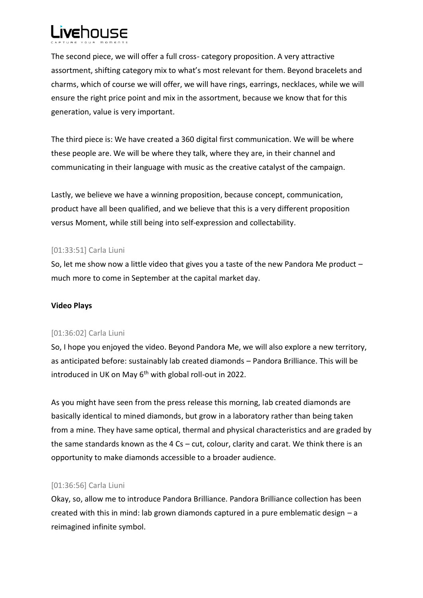

The second piece, we will offer a full cross- category proposition. A very attractive assortment, shifting category mix to what's most relevant for them. Beyond bracelets and charms, which of course we will offer, we will have rings, earrings, necklaces, while we will ensure the right price point and mix in the assortment, because we know that for this generation, value is very important.

The third piece is: We have created a 360 digital first communication. We will be where these people are. We will be where they talk, where they are, in their channel and communicating in their language with music as the creative catalyst of the campaign.

Lastly, we believe we have a winning proposition, because concept, communication, product have all been qualified, and we believe that this is a very different proposition versus Moment, while still being into self-expression and collectability.

## [01:33:51] Carla Liuni

So, let me show now a little video that gives you a taste of the new Pandora Me product – much more to come in September at the capital market day.

# **Video Plays**

## [01:36:02] Carla Liuni

So, I hope you enjoyed the video. Beyond Pandora Me, we will also explore a new territory, as anticipated before: sustainably lab created diamonds – Pandora Brilliance. This will be introduced in UK on May  $6<sup>th</sup>$  with global roll-out in 2022.

As you might have seen from the press release this morning, lab created diamonds are basically identical to mined diamonds, but grow in a laboratory rather than being taken from a mine. They have same optical, thermal and physical characteristics and are graded by the same standards known as the 4 Cs – cut, colour, clarity and carat. We think there is an opportunity to make diamonds accessible to a broader audience.

# [01:36:56] Carla Liuni

Okay, so, allow me to introduce Pandora Brilliance. Pandora Brilliance collection has been created with this in mind: lab grown diamonds captured in a pure emblematic design – a reimagined infinite symbol.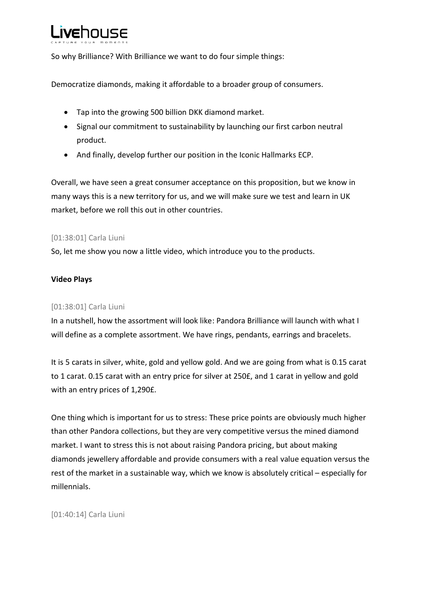# **Livehouse**

So why Brilliance? With Brilliance we want to do four simple things:

Democratize diamonds, making it affordable to a broader group of consumers.

- Tap into the growing 500 billion DKK diamond market.
- Signal our commitment to sustainability by launching our first carbon neutral product.
- And finally, develop further our position in the Iconic Hallmarks ECP.

Overall, we have seen a great consumer acceptance on this proposition, but we know in many ways this is a new territory for us, and we will make sure we test and learn in UK market, before we roll this out in other countries.

# [01:38:01] Carla Liuni

So, let me show you now a little video, which introduce you to the products.

# **Video Plays**

# [01:38:01] Carla Liuni

In a nutshell, how the assortment will look like: Pandora Brilliance will launch with what I will define as a complete assortment. We have rings, pendants, earrings and bracelets.

It is 5 carats in silver, white, gold and yellow gold. And we are going from what is 0.15 carat to 1 carat. 0.15 carat with an entry price for silver at 250£, and 1 carat in yellow and gold with an entry prices of 1,290£.

One thing which is important for us to stress: These price points are obviously much higher than other Pandora collections, but they are very competitive versus the mined diamond market. I want to stress this is not about raising Pandora pricing, but about making diamonds jewellery affordable and provide consumers with a real value equation versus the rest of the market in a sustainable way, which we know is absolutely critical – especially for millennials.

[01:40:14] Carla Liuni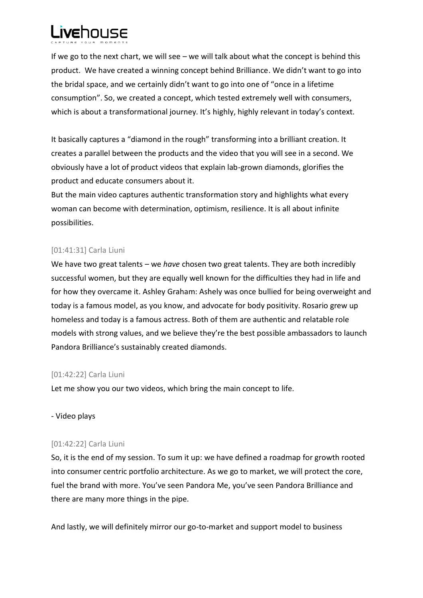

If we go to the next chart, we will see – we will talk about what the concept is behind this product. We have created a winning concept behind Brilliance. We didn't want to go into the bridal space, and we certainly didn't want to go into one of "once in a lifetime consumption". So, we created a concept, which tested extremely well with consumers, which is about a transformational journey. It's highly, highly relevant in today's context.

It basically captures a "diamond in the rough" transforming into a brilliant creation. It creates a parallel between the products and the video that you will see in a second. We obviously have a lot of product videos that explain lab-grown diamonds, glorifies the product and educate consumers about it.

But the main video captures authentic transformation story and highlights what every woman can become with determination, optimism, resilience. It is all about infinite possibilities.

# [01:41:31] Carla Liuni

We have two great talents – we *have* chosen two great talents. They are both incredibly successful women, but they are equally well known for the difficulties they had in life and for how they overcame it. Ashley Graham: Ashely was once bullied for being overweight and today is a famous model, as you know, and advocate for body positivity. Rosario grew up homeless and today is a famous actress. Both of them are authentic and relatable role models with strong values, and we believe they're the best possible ambassadors to launch Pandora Brilliance's sustainably created diamonds.

# [01:42:22] Carla Liuni

Let me show you our two videos, which bring the main concept to life.

# - Video plays

# [01:42:22] Carla Liuni

So, it is the end of my session. To sum it up: we have defined a roadmap for growth rooted into consumer centric portfolio architecture. As we go to market, we will protect the core, fuel the brand with more. You've seen Pandora Me, you've seen Pandora Brilliance and there are many more things in the pipe.

And lastly, we will definitely mirror our go-to-market and support model to business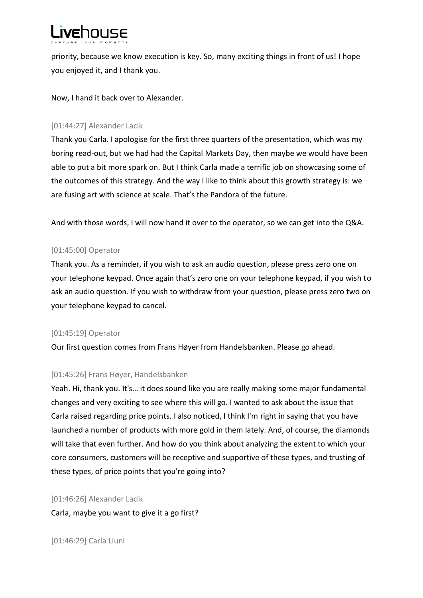

priority, because we know execution is key. So, many exciting things in front of us! I hope you enjoyed it, and I thank you.

Now, I hand it back over to Alexander.

## [01:44:27] Alexander Lacik

Thank you Carla. I apologise for the first three quarters of the presentation, which was my boring read-out, but we had had the Capital Markets Day, then maybe we would have been able to put a bit more spark on. But I think Carla made a terrific job on showcasing some of the outcomes of this strategy. And the way I like to think about this growth strategy is: we are fusing art with science at scale. That's the Pandora of the future.

And with those words, I will now hand it over to the operator, so we can get into the Q&A.

## [01:45:00] Operator

Thank you. As a reminder, if you wish to ask an audio question, please press zero one on your telephone keypad. Once again that's zero one on your telephone keypad, if you wish to ask an audio question. If you wish to withdraw from your question, please press zero two on your telephone keypad to cancel.

## [01:45:19] Operator

Our first question comes from Frans Høyer from Handelsbanken. Please go ahead.

## [01:45:26] Frans Høyer, Handelsbanken

Yeah. Hi, thank you. It's… it does sound like you are really making some major fundamental changes and very exciting to see where this will go. I wanted to ask about the issue that Carla raised regarding price points. I also noticed, I think I'm right in saying that you have launched a number of products with more gold in them lately. And, of course, the diamonds will take that even further. And how do you think about analyzing the extent to which your core consumers, customers will be receptive and supportive of these types, and trusting of these types, of price points that you're going into?

[01:46:26] Alexander Lacik Carla, maybe you want to give it a go first?

[01:46:29] Carla Liuni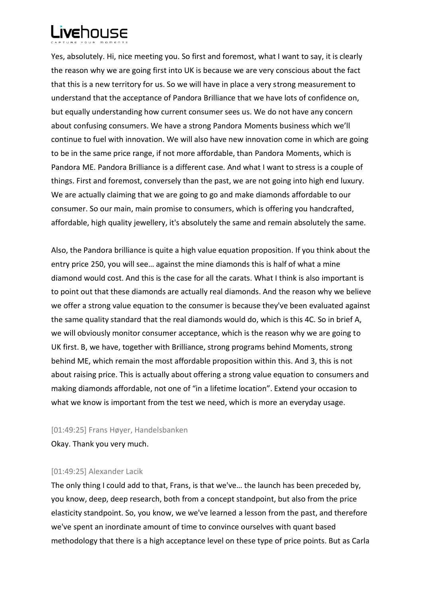

Yes, absolutely. Hi, nice meeting you. So first and foremost, what I want to say, it is clearly the reason why we are going first into UK is because we are very conscious about the fact that this is a new territory for us. So we will have in place a very strong measurement to understand that the acceptance of Pandora Brilliance that we have lots of confidence on, but equally understanding how current consumer sees us. We do not have any concern about confusing consumers. We have a strong Pandora Moments business which we'll continue to fuel with innovation. We will also have new innovation come in which are going to be in the same price range, if not more affordable, than Pandora Moments, which is Pandora ME. Pandora Brilliance is a different case. And what I want to stress is a couple of things. First and foremost, conversely than the past, we are not going into high end luxury. We are actually claiming that we are going to go and make diamonds affordable to our consumer. So our main, main promise to consumers, which is offering you handcrafted, affordable, high quality jewellery, it's absolutely the same and remain absolutely the same.

Also, the Pandora brilliance is quite a high value equation proposition. If you think about the entry price 250, you will see… against the mine diamonds this is half of what a mine diamond would cost. And this is the case for all the carats. What I think is also important is to point out that these diamonds are actually real diamonds. And the reason why we believe we offer a strong value equation to the consumer is because they've been evaluated against the same quality standard that the real diamonds would do, which is this 4C. So in brief A, we will obviously monitor consumer acceptance, which is the reason why we are going to UK first. B, we have, together with Brilliance, strong programs behind Moments, strong behind ME, which remain the most affordable proposition within this. And 3, this is not about raising price. This is actually about offering a strong value equation to consumers and making diamonds affordable, not one of "in a lifetime location". Extend your occasion to what we know is important from the test we need, which is more an everyday usage.

[01:49:25] Frans Høyer, Handelsbanken

Okay. Thank you very much.

## [01:49:25] Alexander Lacik

The only thing I could add to that, Frans, is that we've… the launch has been preceded by, you know, deep, deep research, both from a concept standpoint, but also from the price elasticity standpoint. So, you know, we we've learned a lesson from the past, and therefore we've spent an inordinate amount of time to convince ourselves with quant based methodology that there is a high acceptance level on these type of price points. But as Carla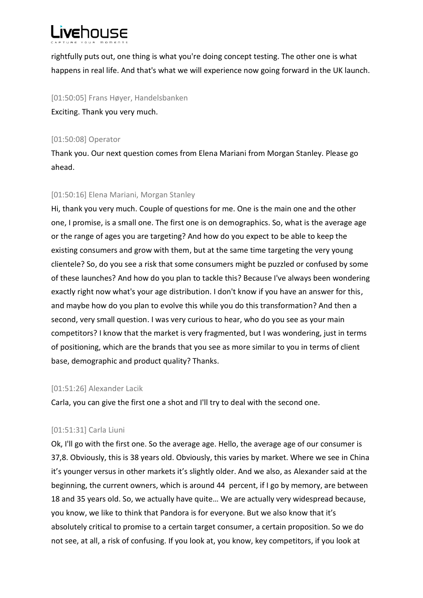

rightfully puts out, one thing is what you're doing concept testing. The other one is what happens in real life. And that's what we will experience now going forward in the UK launch.

[01:50:05] Frans Høyer, Handelsbanken Exciting. Thank you very much.

## [01:50:08] Operator

Thank you. Our next question comes from Elena Mariani from Morgan Stanley. Please go ahead.

# [01:50:16] Elena Mariani, Morgan Stanley

Hi, thank you very much. Couple of questions for me. One is the main one and the other one, I promise, is a small one. The first one is on demographics. So, what is the average age or the range of ages you are targeting? And how do you expect to be able to keep the existing consumers and grow with them, but at the same time targeting the very young clientele? So, do you see a risk that some consumers might be puzzled or confused by some of these launches? And how do you plan to tackle this? Because I've always been wondering exactly right now what's your age distribution. I don't know if you have an answer for this, and maybe how do you plan to evolve this while you do this transformation? And then a second, very small question. I was very curious to hear, who do you see as your main competitors? I know that the market is very fragmented, but I was wondering, just in terms of positioning, which are the brands that you see as more similar to you in terms of client base, demographic and product quality? Thanks.

## [01:51:26] Alexander Lacik

Carla, you can give the first one a shot and I'll try to deal with the second one.

# [01:51:31] Carla Liuni

Ok, I'll go with the first one. So the average age. Hello, the average age of our consumer is 37,8. Obviously, this is 38 years old. Obviously, this varies by market. Where we see in China it's younger versus in other markets it's slightly older. And we also, as Alexander said at the beginning, the current owners, which is around 44 percent, if I go by memory, are between 18 and 35 years old. So, we actually have quite… We are actually very widespread because, you know, we like to think that Pandora is for everyone. But we also know that it's absolutely critical to promise to a certain target consumer, a certain proposition. So we do not see, at all, a risk of confusing. If you look at, you know, key competitors, if you look at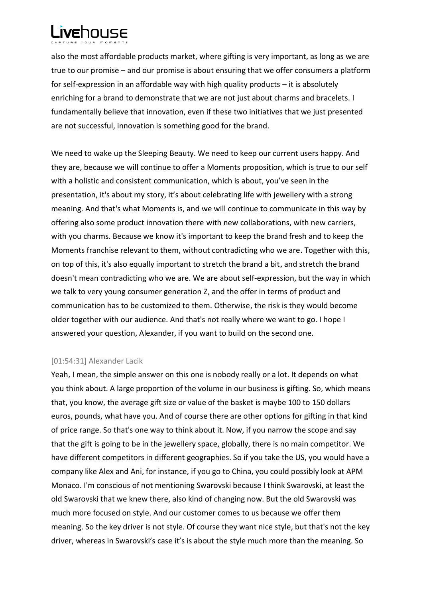

also the most affordable products market, where gifting is very important, as long as we are true to our promise – and our promise is about ensuring that we offer consumers a platform for self-expression in an affordable way with high quality products – it is absolutely enriching for a brand to demonstrate that we are not just about charms and bracelets. I fundamentally believe that innovation, even if these two initiatives that we just presented are not successful, innovation is something good for the brand.

We need to wake up the Sleeping Beauty. We need to keep our current users happy. And they are, because we will continue to offer a Moments proposition, which is true to our self with a holistic and consistent communication, which is about, you've seen in the presentation, it's about my story, it's about celebrating life with jewellery with a strong meaning. And that's what Moments is, and we will continue to communicate in this way by offering also some product innovation there with new collaborations, with new carriers, with you charms. Because we know it's important to keep the brand fresh and to keep the Moments franchise relevant to them, without contradicting who we are. Together with this, on top of this, it's also equally important to stretch the brand a bit, and stretch the brand doesn't mean contradicting who we are. We are about self-expression, but the way in which we talk to very young consumer generation Z, and the offer in terms of product and communication has to be customized to them. Otherwise, the risk is they would become older together with our audience. And that's not really where we want to go. I hope I answered your question, Alexander, if you want to build on the second one.

## [01:54:31] Alexander Lacik

Yeah, I mean, the simple answer on this one is nobody really or a lot. It depends on what you think about. A large proportion of the volume in our business is gifting. So, which means that, you know, the average gift size or value of the basket is maybe 100 to 150 dollars euros, pounds, what have you. And of course there are other options for gifting in that kind of price range. So that's one way to think about it. Now, if you narrow the scope and say that the gift is going to be in the jewellery space, globally, there is no main competitor. We have different competitors in different geographies. So if you take the US, you would have a company like Alex and Ani, for instance, if you go to China, you could possibly look at APM Monaco. I'm conscious of not mentioning Swarovski because I think Swarovski, at least the old Swarovski that we knew there, also kind of changing now. But the old Swarovski was much more focused on style. And our customer comes to us because we offer them meaning. So the key driver is not style. Of course they want nice style, but that's not the key driver, whereas in Swarovski's case it's is about the style much more than the meaning. So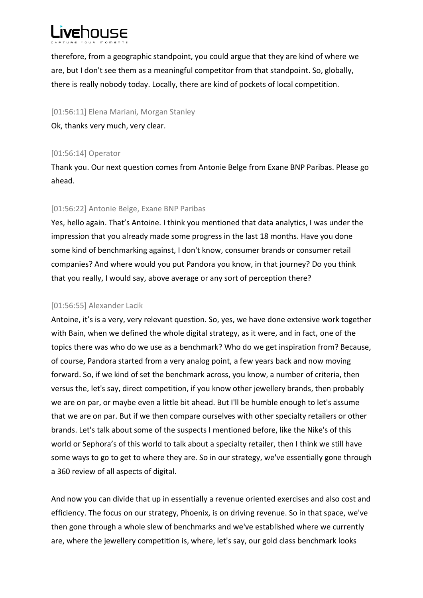

therefore, from a geographic standpoint, you could argue that they are kind of where we are, but I don't see them as a meaningful competitor from that standpoint. So, globally, there is really nobody today. Locally, there are kind of pockets of local competition.

[01:56:11] Elena Mariani, Morgan Stanley

Ok, thanks very much, very clear.

## [01:56:14] Operator

Thank you. Our next question comes from Antonie Belge from Exane BNP Paribas. Please go ahead.

## [01:56:22] Antonie Belge, Exane BNP Paribas

Yes, hello again. That's Antoine. I think you mentioned that data analytics, I was under the impression that you already made some progress in the last 18 months. Have you done some kind of benchmarking against, I don't know, consumer brands or consumer retail companies? And where would you put Pandora you know, in that journey? Do you think that you really, I would say, above average or any sort of perception there?

# [01:56:55] Alexander Lacik

Antoine, it's is a very, very relevant question. So, yes, we have done extensive work together with Bain, when we defined the whole digital strategy, as it were, and in fact, one of the topics there was who do we use as a benchmark? Who do we get inspiration from? Because, of course, Pandora started from a very analog point, a few years back and now moving forward. So, if we kind of set the benchmark across, you know, a number of criteria, then versus the, let's say, direct competition, if you know other jewellery brands, then probably we are on par, or maybe even a little bit ahead. But I'll be humble enough to let's assume that we are on par. But if we then compare ourselves with other specialty retailers or other brands. Let's talk about some of the suspects I mentioned before, like the Nike's of this world or Sephora's of this world to talk about a specialty retailer, then I think we still have some ways to go to get to where they are. So in our strategy, we've essentially gone through a 360 review of all aspects of digital.

And now you can divide that up in essentially a revenue oriented exercises and also cost and efficiency. The focus on our strategy, Phoenix, is on driving revenue. So in that space, we've then gone through a whole slew of benchmarks and we've established where we currently are, where the jewellery competition is, where, let's say, our gold class benchmark looks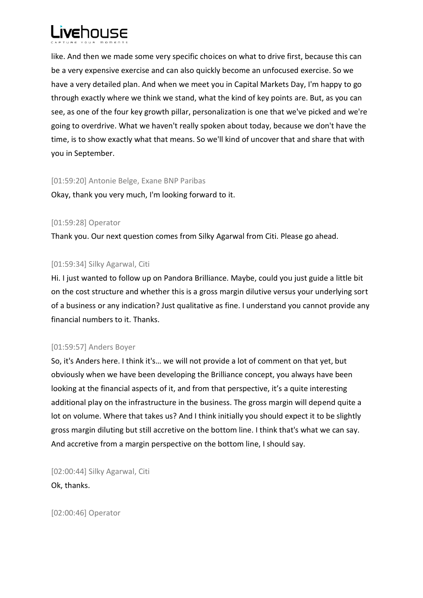

like. And then we made some very specific choices on what to drive first, because this can be a very expensive exercise and can also quickly become an unfocused exercise. So we have a very detailed plan. And when we meet you in Capital Markets Day, I'm happy to go through exactly where we think we stand, what the kind of key points are. But, as you can see, as one of the four key growth pillar, personalization is one that we've picked and we're going to overdrive. What we haven't really spoken about today, because we don't have the time, is to show exactly what that means. So we'll kind of uncover that and share that with you in September.

#### [01:59:20] Antonie Belge, Exane BNP Paribas

Okay, thank you very much, I'm looking forward to it.

## [01:59:28] Operator

Thank you. Our next question comes from Silky Agarwal from Citi. Please go ahead.

## [01:59:34] Silky Agarwal, Citi

Hi. I just wanted to follow up on Pandora Brilliance. Maybe, could you just guide a little bit on the cost structure and whether this is a gross margin dilutive versus your underlying sort of a business or any indication? Just qualitative as fine. I understand you cannot provide any financial numbers to it. Thanks.

## [01:59:57] Anders Boyer

So, it's Anders here. I think it's… we will not provide a lot of comment on that yet, but obviously when we have been developing the Brilliance concept, you always have been looking at the financial aspects of it, and from that perspective, it's a quite interesting additional play on the infrastructure in the business. The gross margin will depend quite a lot on volume. Where that takes us? And I think initially you should expect it to be slightly gross margin diluting but still accretive on the bottom line. I think that's what we can say. And accretive from a margin perspective on the bottom line, I should say.

[02:00:44] Silky Agarwal, Citi Ok, thanks.

[02:00:46] Operator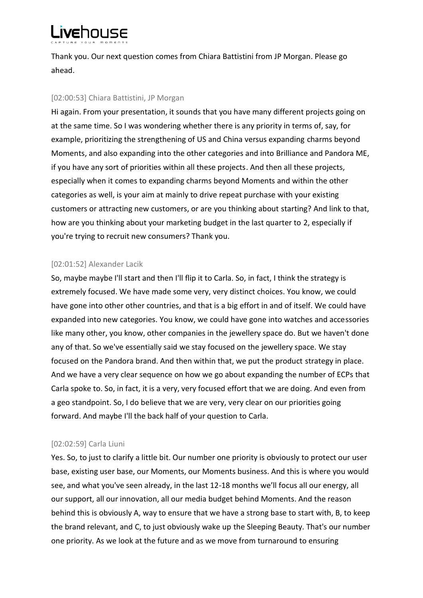

Thank you. Our next question comes from Chiara Battistini from JP Morgan. Please go ahead.

## [02:00:53] Chiara Battistini, JP Morgan

Hi again. From your presentation, it sounds that you have many different projects going on at the same time. So I was wondering whether there is any priority in terms of, say, for example, prioritizing the strengthening of US and China versus expanding charms beyond Moments, and also expanding into the other categories and into Brilliance and Pandora ME, if you have any sort of priorities within all these projects. And then all these projects, especially when it comes to expanding charms beyond Moments and within the other categories as well, is your aim at mainly to drive repeat purchase with your existing customers or attracting new customers, or are you thinking about starting? And link to that, how are you thinking about your marketing budget in the last quarter to 2, especially if you're trying to recruit new consumers? Thank you.

## [02:01:52] Alexander Lacik

So, maybe maybe I'll start and then I'll flip it to Carla. So, in fact, I think the strategy is extremely focused. We have made some very, very distinct choices. You know, we could have gone into other other countries, and that is a big effort in and of itself. We could have expanded into new categories. You know, we could have gone into watches and accessories like many other, you know, other companies in the jewellery space do. But we haven't done any of that. So we've essentially said we stay focused on the jewellery space. We stay focused on the Pandora brand. And then within that, we put the product strategy in place. And we have a very clear sequence on how we go about expanding the number of ECPs that Carla spoke to. So, in fact, it is a very, very focused effort that we are doing. And even from a geo standpoint. So, I do believe that we are very, very clear on our priorities going forward. And maybe I'll the back half of your question to Carla.

## [02:02:59] Carla Liuni

Yes. So, to just to clarify a little bit. Our number one priority is obviously to protect our user base, existing user base, our Moments, our Moments business. And this is where you would see, and what you've seen already, in the last 12-18 months we'll focus all our energy, all our support, all our innovation, all our media budget behind Moments. And the reason behind this is obviously A, way to ensure that we have a strong base to start with, B, to keep the brand relevant, and C, to just obviously wake up the Sleeping Beauty. That's our number one priority. As we look at the future and as we move from turnaround to ensuring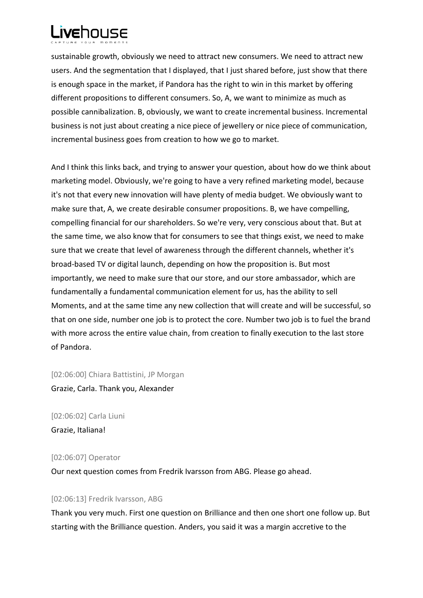

sustainable growth, obviously we need to attract new consumers. We need to attract new users. And the segmentation that I displayed, that I just shared before, just show that there is enough space in the market, if Pandora has the right to win in this market by offering different propositions to different consumers. So, A, we want to minimize as much as possible cannibalization. B, obviously, we want to create incremental business. Incremental business is not just about creating a nice piece of jewellery or nice piece of communication, incremental business goes from creation to how we go to market.

And I think this links back, and trying to answer your question, about how do we think about marketing model. Obviously, we're going to have a very refined marketing model, because it's not that every new innovation will have plenty of media budget. We obviously want to make sure that, A, we create desirable consumer propositions. B, we have compelling, compelling financial for our shareholders. So we're very, very conscious about that. But at the same time, we also know that for consumers to see that things exist, we need to make sure that we create that level of awareness through the different channels, whether it's broad-based TV or digital launch, depending on how the proposition is. But most importantly, we need to make sure that our store, and our store ambassador, which are fundamentally a fundamental communication element for us, has the ability to sell Moments, and at the same time any new collection that will create and will be successful, so that on one side, number one job is to protect the core. Number two job is to fuel the brand with more across the entire value chain, from creation to finally execution to the last store of Pandora.

[02:06:00] Chiara Battistini, JP Morgan

Grazie, Carla. Thank you, Alexander

[02:06:02] Carla Liuni Grazie, Italiana!

[02:06:07] Operator

Our next question comes from Fredrik Ivarsson from ABG. Please go ahead.

## [02:06:13] Fredrik Ivarsson, ABG

Thank you very much. First one question on Brilliance and then one short one follow up. But starting with the Brilliance question. Anders, you said it was a margin accretive to the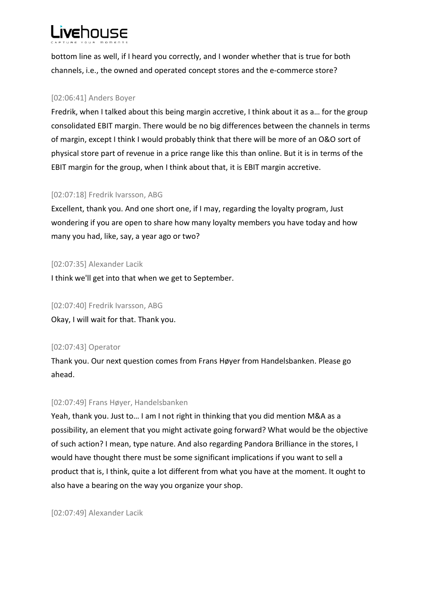# **Livehouse**

bottom line as well, if I heard you correctly, and I wonder whether that is true for both channels, i.e., the owned and operated concept stores and the e-commerce store?

# [02:06:41] Anders Boyer

Fredrik, when I talked about this being margin accretive, I think about it as a… for the group consolidated EBIT margin. There would be no big differences between the channels in terms of margin, except I think I would probably think that there will be more of an O&O sort of physical store part of revenue in a price range like this than online. But it is in terms of the EBIT margin for the group, when I think about that, it is EBIT margin accretive.

# [02:07:18] Fredrik Ivarsson, ABG

Excellent, thank you. And one short one, if I may, regarding the loyalty program, Just wondering if you are open to share how many loyalty members you have today and how many you had, like, say, a year ago or two?

## [02:07:35] Alexander Lacik

I think we'll get into that when we get to September.

## [02:07:40] Fredrik Ivarsson, ABG

Okay, I will wait for that. Thank you.

# [02:07:43] Operator

Thank you. Our next question comes from Frans Høyer from Handelsbanken. Please go ahead.

# [02:07:49] Frans Høyer, Handelsbanken

Yeah, thank you. Just to… I am I not right in thinking that you did mention M&A as a possibility, an element that you might activate going forward? What would be the objective of such action? I mean, type nature. And also regarding Pandora Brilliance in the stores, I would have thought there must be some significant implications if you want to sell a product that is, I think, quite a lot different from what you have at the moment. It ought to also have a bearing on the way you organize your shop.

[02:07:49] Alexander Lacik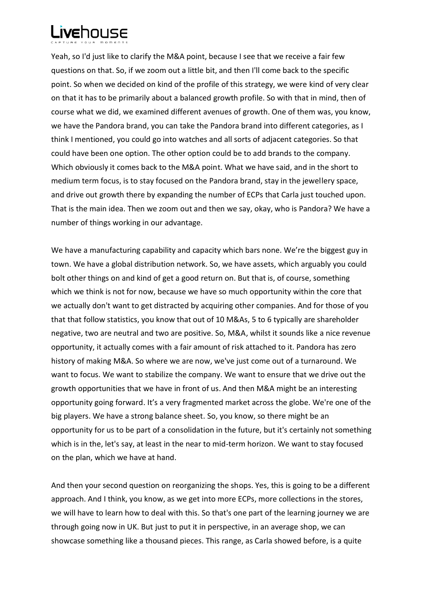

Yeah, so I'd just like to clarify the M&A point, because I see that we receive a fair few questions on that. So, if we zoom out a little bit, and then I'll come back to the specific point. So when we decided on kind of the profile of this strategy, we were kind of very clear on that it has to be primarily about a balanced growth profile. So with that in mind, then of course what we did, we examined different avenues of growth. One of them was, you know, we have the Pandora brand, you can take the Pandora brand into different categories, as I think I mentioned, you could go into watches and all sorts of adjacent categories. So that could have been one option. The other option could be to add brands to the company. Which obviously it comes back to the M&A point. What we have said, and in the short to medium term focus, is to stay focused on the Pandora brand, stay in the jewellery space, and drive out growth there by expanding the number of ECPs that Carla just touched upon. That is the main idea. Then we zoom out and then we say, okay, who is Pandora? We have a number of things working in our advantage.

We have a manufacturing capability and capacity which bars none. We're the biggest guy in town. We have a global distribution network. So, we have assets, which arguably you could bolt other things on and kind of get a good return on. But that is, of course, something which we think is not for now, because we have so much opportunity within the core that we actually don't want to get distracted by acquiring other companies. And for those of you that that follow statistics, you know that out of 10 M&As, 5 to 6 typically are shareholder negative, two are neutral and two are positive. So, M&A, whilst it sounds like a nice revenue opportunity, it actually comes with a fair amount of risk attached to it. Pandora has zero history of making M&A. So where we are now, we've just come out of a turnaround. We want to focus. We want to stabilize the company. We want to ensure that we drive out the growth opportunities that we have in front of us. And then M&A might be an interesting opportunity going forward. It's a very fragmented market across the globe. We're one of the big players. We have a strong balance sheet. So, you know, so there might be an opportunity for us to be part of a consolidation in the future, but it's certainly not something which is in the, let's say, at least in the near to mid-term horizon. We want to stay focused on the plan, which we have at hand.

And then your second question on reorganizing the shops. Yes, this is going to be a different approach. And I think, you know, as we get into more ECPs, more collections in the stores, we will have to learn how to deal with this. So that's one part of the learning journey we are through going now in UK. But just to put it in perspective, in an average shop, we can showcase something like a thousand pieces. This range, as Carla showed before, is a quite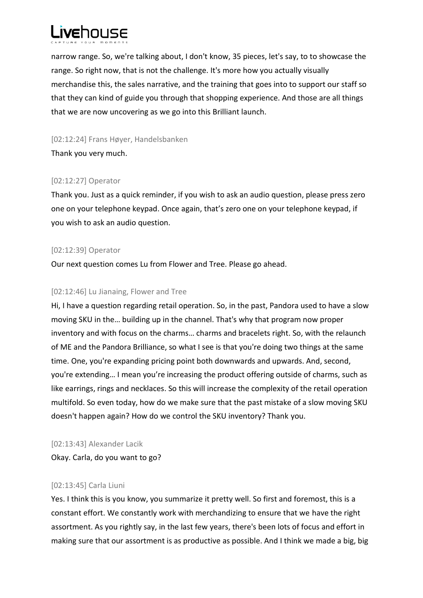

narrow range. So, we're talking about, I don't know, 35 pieces, let's say, to to showcase the range. So right now, that is not the challenge. It's more how you actually visually merchandise this, the sales narrative, and the training that goes into to support our staff so that they can kind of guide you through that shopping experience. And those are all things that we are now uncovering as we go into this Brilliant launch.

[02:12:24] Frans Høyer, Handelsbanken Thank you very much.

## [02:12:27] Operator

Thank you. Just as a quick reminder, if you wish to ask an audio question, please press zero one on your telephone keypad. Once again, that's zero one on your telephone keypad, if you wish to ask an audio question.

## [02:12:39] Operator

Our next question comes Lu from Flower and Tree. Please go ahead.

## [02:12:46] Lu Jianaing, Flower and Tree

Hi, I have a question regarding retail operation. So, in the past, Pandora used to have a slow moving SKU in the… building up in the channel. That's why that program now proper inventory and with focus on the charms… charms and bracelets right. So, with the relaunch of ME and the Pandora Brilliance, so what I see is that you're doing two things at the same time. One, you're expanding pricing point both downwards and upwards. And, second, you're extending… I mean you're increasing the product offering outside of charms, such as like earrings, rings and necklaces. So this will increase the complexity of the retail operation multifold. So even today, how do we make sure that the past mistake of a slow moving SKU doesn't happen again? How do we control the SKU inventory? Thank you.

## [02:13:43] Alexander Lacik

Okay. Carla, do you want to go?

# [02:13:45] Carla Liuni

Yes. I think this is you know, you summarize it pretty well. So first and foremost, this is a constant effort. We constantly work with merchandizing to ensure that we have the right assortment. As you rightly say, in the last few years, there's been lots of focus and effort in making sure that our assortment is as productive as possible. And I think we made a big, big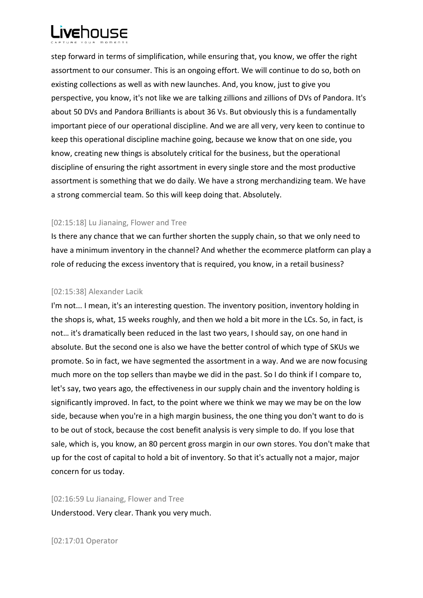

step forward in terms of simplification, while ensuring that, you know, we offer the right assortment to our consumer. This is an ongoing effort. We will continue to do so, both on existing collections as well as with new launches. And, you know, just to give you perspective, you know, it's not like we are talking zillions and zillions of DVs of Pandora. It's about 50 DVs and Pandora Brilliants is about 36 Vs. But obviously this is a fundamentally important piece of our operational discipline. And we are all very, very keen to continue to keep this operational discipline machine going, because we know that on one side, you know, creating new things is absolutely critical for the business, but the operational discipline of ensuring the right assortment in every single store and the most productive assortment is something that we do daily. We have a strong merchandizing team. We have a strong commercial team. So this will keep doing that. Absolutely.

#### [02:15:18] Lu Jianaing, Flower and Tree

Is there any chance that we can further shorten the supply chain, so that we only need to have a minimum inventory in the channel? And whether the ecommerce platform can play a role of reducing the excess inventory that is required, you know, in a retail business?

#### [02:15:38] Alexander Lacik

I'm not... I mean, it's an interesting question. The inventory position, inventory holding in the shops is, what, 15 weeks roughly, and then we hold a bit more in the LCs. So, in fact, is not… it's dramatically been reduced in the last two years, I should say, on one hand in absolute. But the second one is also we have the better control of which type of SKUs we promote. So in fact, we have segmented the assortment in a way. And we are now focusing much more on the top sellers than maybe we did in the past. So I do think if I compare to, let's say, two years ago, the effectiveness in our supply chain and the inventory holding is significantly improved. In fact, to the point where we think we may we may be on the low side, because when you're in a high margin business, the one thing you don't want to do is to be out of stock, because the cost benefit analysis is very simple to do. If you lose that sale, which is, you know, an 80 percent gross margin in our own stores. You don't make that up for the cost of capital to hold a bit of inventory. So that it's actually not a major, major concern for us today.

[02:16:59 Lu Jianaing, Flower and Tree Understood. Very clear. Thank you very much.

[02:17:01 Operator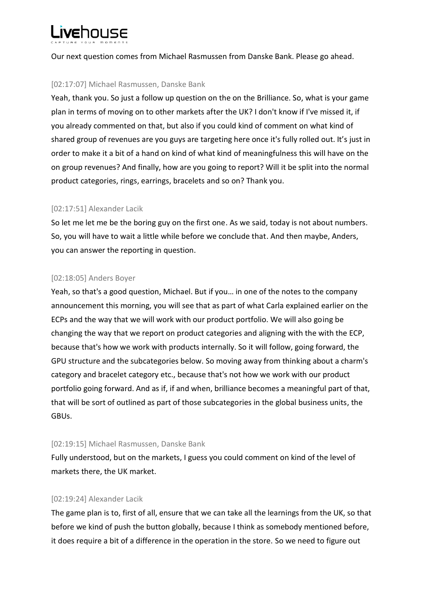

Our next question comes from Michael Rasmussen from Danske Bank. Please go ahead.

## [02:17:07] Michael Rasmussen, Danske Bank

Yeah, thank you. So just a follow up question on the on the Brilliance. So, what is your game plan in terms of moving on to other markets after the UK? I don't know if I've missed it, if you already commented on that, but also if you could kind of comment on what kind of shared group of revenues are you guys are targeting here once it's fully rolled out. It's just in order to make it a bit of a hand on kind of what kind of meaningfulness this will have on the on group revenues? And finally, how are you going to report? Will it be split into the normal product categories, rings, earrings, bracelets and so on? Thank you.

## [02:17:51] Alexander Lacik

So let me let me be the boring guy on the first one. As we said, today is not about numbers. So, you will have to wait a little while before we conclude that. And then maybe, Anders, you can answer the reporting in question.

## [02:18:05] Anders Boyer

Yeah, so that's a good question, Michael. But if you… in one of the notes to the company announcement this morning, you will see that as part of what Carla explained earlier on the ECPs and the way that we will work with our product portfolio. We will also going be changing the way that we report on product categories and aligning with the with the ECP, because that's how we work with products internally. So it will follow, going forward, the GPU structure and the subcategories below. So moving away from thinking about a charm's category and bracelet category etc., because that's not how we work with our product portfolio going forward. And as if, if and when, brilliance becomes a meaningful part of that, that will be sort of outlined as part of those subcategories in the global business units, the GBUs.

## [02:19:15] Michael Rasmussen, Danske Bank

Fully understood, but on the markets, I guess you could comment on kind of the level of markets there, the UK market.

# [02:19:24] Alexander Lacik

The game plan is to, first of all, ensure that we can take all the learnings from the UK, so that before we kind of push the button globally, because I think as somebody mentioned before, it does require a bit of a difference in the operation in the store. So we need to figure out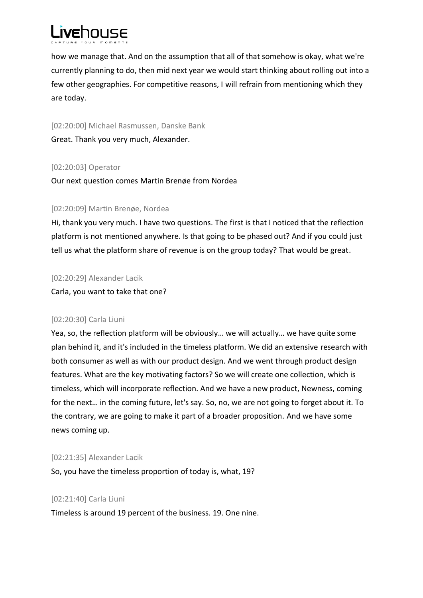

how we manage that. And on the assumption that all of that somehow is okay, what we're currently planning to do, then mid next year we would start thinking about rolling out into a few other geographies. For competitive reasons, I will refrain from mentioning which they are today.

[02:20:00] Michael Rasmussen, Danske Bank Great. Thank you very much, Alexander.

## [02:20:03] Operator

Our next question comes Martin Brenøe from Nordea

## [02:20:09] Martin Brenøe, Nordea

Hi, thank you very much. I have two questions. The first is that I noticed that the reflection platform is not mentioned anywhere. Is that going to be phased out? And if you could just tell us what the platform share of revenue is on the group today? That would be great.

[02:20:29] Alexander Lacik

Carla, you want to take that one?

## [02:20:30] Carla Liuni

Yea, so, the reflection platform will be obviously… we will actually… we have quite some plan behind it, and it's included in the timeless platform. We did an extensive research with both consumer as well as with our product design. And we went through product design features. What are the key motivating factors? So we will create one collection, which is timeless, which will incorporate reflection. And we have a new product, Newness, coming for the next… in the coming future, let's say. So, no, we are not going to forget about it. To the contrary, we are going to make it part of a broader proposition. And we have some news coming up.

## [02:21:35] Alexander Lacik

So, you have the timeless proportion of today is, what, 19?

## [02:21:40] Carla Liuni

Timeless is around 19 percent of the business. 19. One nine.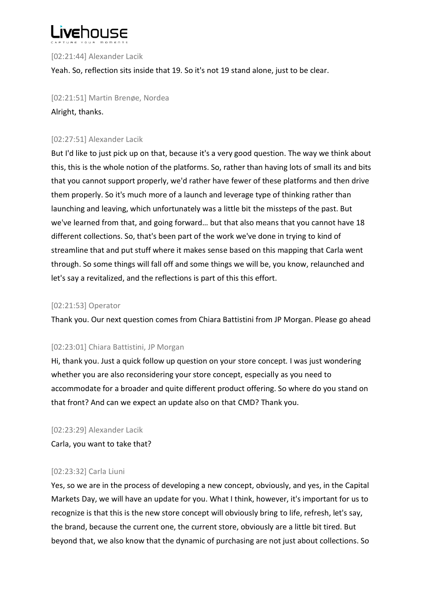

[02:21:44] Alexander Lacik

Yeah. So, reflection sits inside that 19. So it's not 19 stand alone, just to be clear.

[02:21:51] Martin Brenøe, Nordea Alright, thanks.

## [02:27:51] Alexander Lacik

But I'd like to just pick up on that, because it's a very good question. The way we think about this, this is the whole notion of the platforms. So, rather than having lots of small its and bits that you cannot support properly, we'd rather have fewer of these platforms and then drive them properly. So it's much more of a launch and leverage type of thinking rather than launching and leaving, which unfortunately was a little bit the missteps of the past. But we've learned from that, and going forward… but that also means that you cannot have 18 different collections. So, that's been part of the work we've done in trying to kind of streamline that and put stuff where it makes sense based on this mapping that Carla went through. So some things will fall off and some things we will be, you know, relaunched and let's say a revitalized, and the reflections is part of this this effort.

## [02:21:53] Operator

Thank you. Our next question comes from Chiara Battistini from JP Morgan. Please go ahead

## [02:23:01] Chiara Battistini, JP Morgan

Hi, thank you. Just a quick follow up question on your store concept*.* I was just wondering whether you are also reconsidering your store concept, especially as you need to accommodate for a broader and quite different product offering. So where do you stand on that front? And can we expect an update also on that CMD? Thank you.

[02:23:29] Alexander Lacik

Carla, you want to take that?

## [02:23:32] Carla Liuni

Yes, so we are in the process of developing a new concept, obviously, and yes, in the Capital Markets Day, we will have an update for you. What I think, however, it's important for us to recognize is that this is the new store concept will obviously bring to life, refresh, let's say, the brand, because the current one, the current store, obviously are a little bit tired. But beyond that, we also know that the dynamic of purchasing are not just about collections. So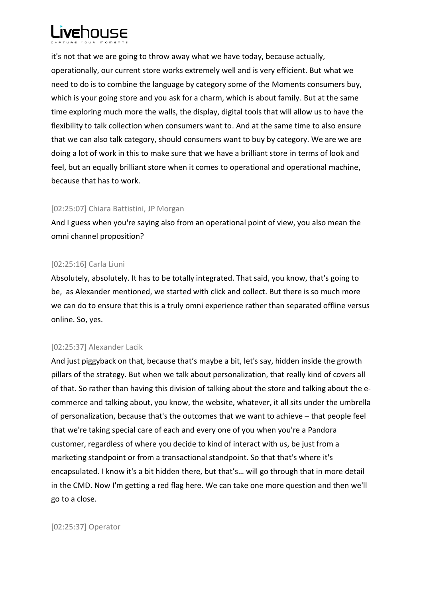

it's not that we are going to throw away what we have today, because actually, operationally, our current store works extremely well and is very efficient. But what we need to do is to combine the language by category some of the Moments consumers buy, which is your going store and you ask for a charm, which is about family. But at the same time exploring much more the walls, the display, digital tools that will allow us to have the flexibility to talk collection when consumers want to. And at the same time to also ensure that we can also talk category, should consumers want to buy by category. We are we are doing a lot of work in this to make sure that we have a brilliant store in terms of look and feel, but an equally brilliant store when it comes to operational and operational machine, because that has to work.

## [02:25:07] Chiara Battistini, JP Morgan

And I guess when you're saying also from an operational point of view, you also mean the omni channel proposition?

## [02:25:16] Carla Liuni

Absolutely, absolutely. It has to be totally integrated. That said, you know, that's going to be, as Alexander mentioned, we started with click and collect. But there is so much more we can do to ensure that this is a truly omni experience rather than separated offline versus online. So, yes.

# [02:25:37] Alexander Lacik

And just piggyback on that, because that's maybe a bit, let's say, hidden inside the growth pillars of the strategy. But when we talk about personalization, that really kind of covers all of that. So rather than having this division of talking about the store and talking about the ecommerce and talking about, you know, the website, whatever, it all sits under the umbrella of personalization, because that's the outcomes that we want to achieve – that people feel that we're taking special care of each and every one of you when you're a Pandora customer, regardless of where you decide to kind of interact with us, be just from a marketing standpoint or from a transactional standpoint. So that that's where it's encapsulated. I know it's a bit hidden there, but that's… will go through that in more detail in the CMD. Now I'm getting a red flag here. We can take one more question and then we'll go to a close.

[02:25:37] Operator